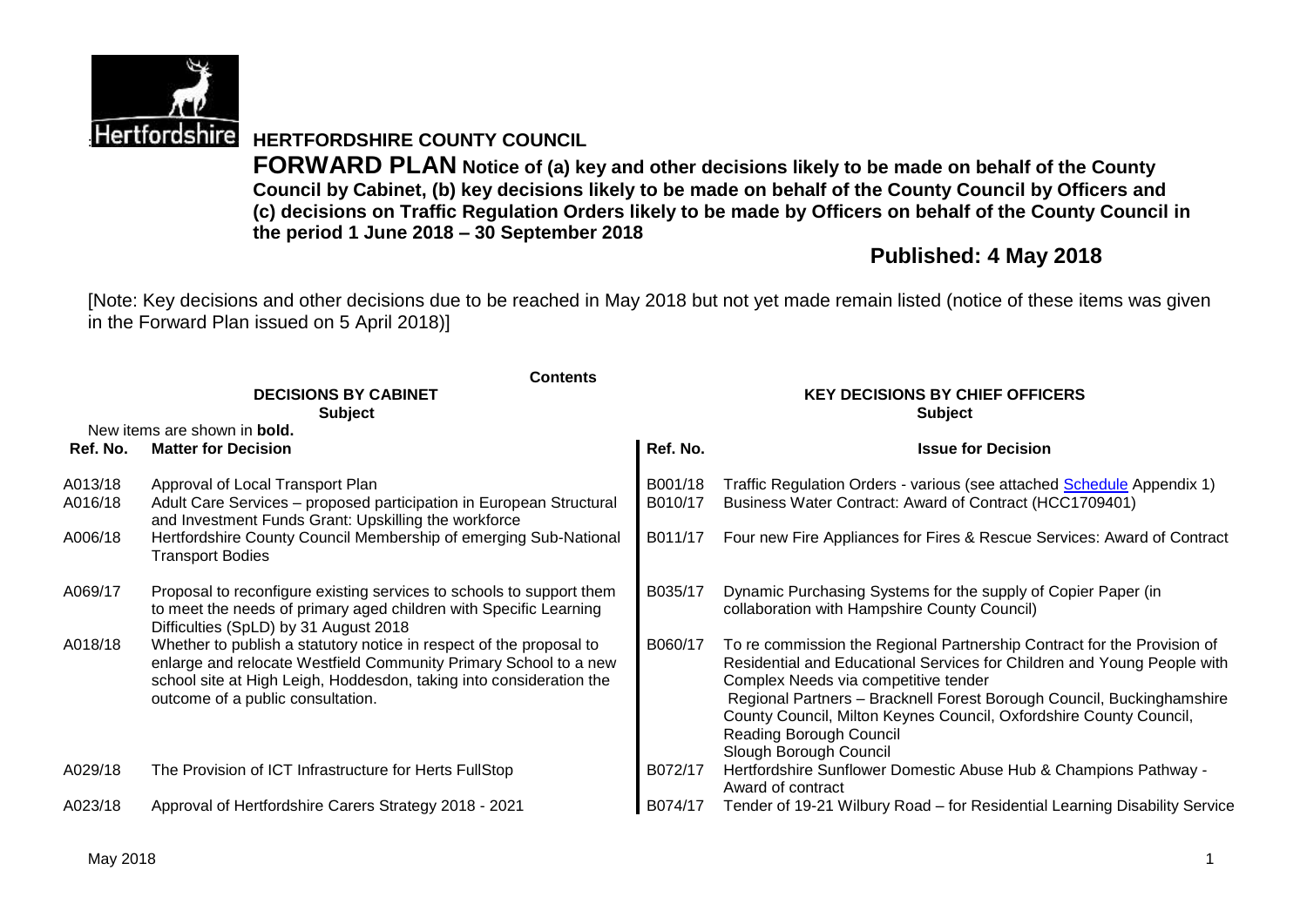

**Hertfordshire HERTFORDSHIRE COUNTY COUNCIL** 

**FORWARD PLAN Notice of (a) key and other decisions likely to be made on behalf of the County Council by Cabinet, (b) key decisions likely to be made on behalf of the County Council by Officers and (c) decisions on Traffic Regulation Orders likely to be made by Officers on behalf of the County Council in the period 1 June 2018 – 30 September 2018**

# **Published: 4 May 2018**

[Note: Key decisions and other decisions due to be reached in May 2018 but not yet made remain listed (notice of these items was given in the Forward Plan issued on 5 April 2018)]

|          | <b>Contents</b>                                                                                                                                                                                                                                     |          |                                                                                                                                                                                                                                                                                                                                                                                                |
|----------|-----------------------------------------------------------------------------------------------------------------------------------------------------------------------------------------------------------------------------------------------------|----------|------------------------------------------------------------------------------------------------------------------------------------------------------------------------------------------------------------------------------------------------------------------------------------------------------------------------------------------------------------------------------------------------|
|          | <b>DECISIONS BY CABINET</b>                                                                                                                                                                                                                         |          | <b>KEY DECISIONS BY CHIEF OFFICERS</b>                                                                                                                                                                                                                                                                                                                                                         |
|          | <b>Subject</b>                                                                                                                                                                                                                                      |          | <b>Subject</b>                                                                                                                                                                                                                                                                                                                                                                                 |
|          | New items are shown in <b>bold.</b>                                                                                                                                                                                                                 |          |                                                                                                                                                                                                                                                                                                                                                                                                |
| Ref. No. | <b>Matter for Decision</b>                                                                                                                                                                                                                          | Ref. No. | <b>Issue for Decision</b>                                                                                                                                                                                                                                                                                                                                                                      |
| A013/18  | Approval of Local Transport Plan                                                                                                                                                                                                                    | B001/18  | Traffic Regulation Orders - various (see attached Schedule Appendix 1)                                                                                                                                                                                                                                                                                                                         |
| A016/18  | Adult Care Services - proposed participation in European Structural<br>and Investment Funds Grant: Upskilling the workforce                                                                                                                         | B010/17  | Business Water Contract: Award of Contract (HCC1709401)                                                                                                                                                                                                                                                                                                                                        |
| A006/18  | Hertfordshire County Council Membership of emerging Sub-National<br><b>Transport Bodies</b>                                                                                                                                                         | B011/17  | Four new Fire Appliances for Fires & Rescue Services: Award of Contract                                                                                                                                                                                                                                                                                                                        |
| A069/17  | Proposal to reconfigure existing services to schools to support them<br>to meet the needs of primary aged children with Specific Learning<br>Difficulties (SpLD) by 31 August 2018                                                                  | B035/17  | Dynamic Purchasing Systems for the supply of Copier Paper (in<br>collaboration with Hampshire County Council)                                                                                                                                                                                                                                                                                  |
| A018/18  | Whether to publish a statutory notice in respect of the proposal to<br>enlarge and relocate Westfield Community Primary School to a new<br>school site at High Leigh, Hoddesdon, taking into consideration the<br>outcome of a public consultation. | B060/17  | To re commission the Regional Partnership Contract for the Provision of<br>Residential and Educational Services for Children and Young People with<br>Complex Needs via competitive tender<br>Regional Partners - Bracknell Forest Borough Council, Buckinghamshire<br>County Council, Milton Keynes Council, Oxfordshire County Council,<br>Reading Borough Council<br>Slough Borough Council |
| A029/18  | The Provision of ICT Infrastructure for Herts FullStop                                                                                                                                                                                              | B072/17  | Hertfordshire Sunflower Domestic Abuse Hub & Champions Pathway -<br>Award of contract                                                                                                                                                                                                                                                                                                          |
| A023/18  | Approval of Hertfordshire Carers Strategy 2018 - 2021                                                                                                                                                                                               | B074/17  | Tender of 19-21 Wilbury Road - for Residential Learning Disability Service                                                                                                                                                                                                                                                                                                                     |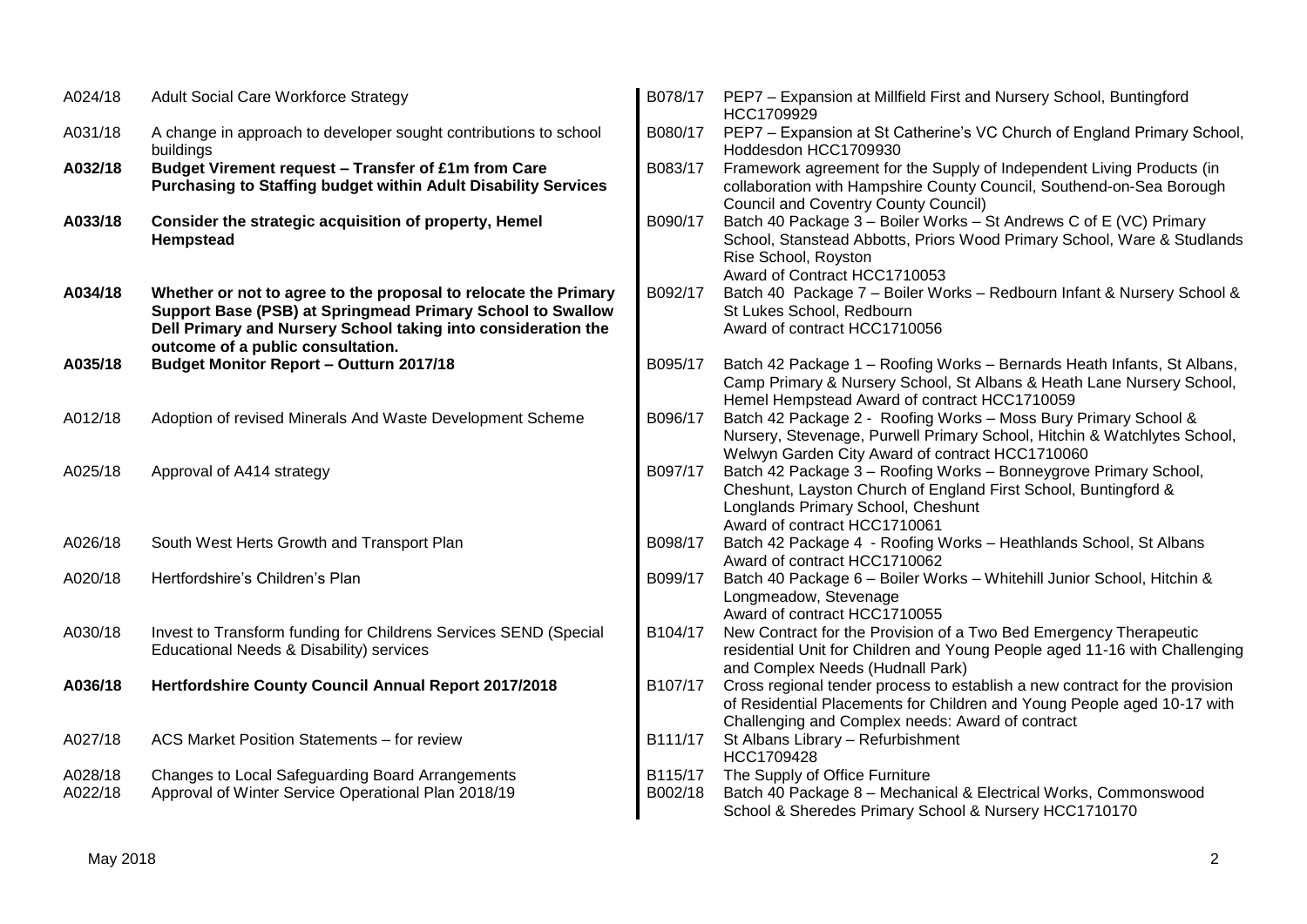| A024/18            | <b>Adult Social Care Workforce Strategy</b>                                                                                                                                                                                         | B078/17            | PEP7 - Expansion at Millfield First and Nursery School, Buntingford<br>HCC1709929                                                                                                                          |
|--------------------|-------------------------------------------------------------------------------------------------------------------------------------------------------------------------------------------------------------------------------------|--------------------|------------------------------------------------------------------------------------------------------------------------------------------------------------------------------------------------------------|
| A031/18            | A change in approach to developer sought contributions to school<br>buildings                                                                                                                                                       | B080/17            | PEP7 - Expansion at St Catherine's VC Church of England Primary School,<br>Hoddesdon HCC1709930                                                                                                            |
| A032/18            | Budget Virement request - Transfer of £1m from Care<br><b>Purchasing to Staffing budget within Adult Disability Services</b>                                                                                                        | B083/17            | Framework agreement for the Supply of Independent Living Products (in<br>collaboration with Hampshire County Council, Southend-on-Sea Borough<br><b>Council and Coventry County Council)</b>               |
| A033/18            | Consider the strategic acquisition of property, Hemel<br>Hempstead                                                                                                                                                                  | B090/17            | Batch 40 Package 3 - Boiler Works - St Andrews C of E (VC) Primary<br>School, Stanstead Abbotts, Priors Wood Primary School, Ware & Studlands<br>Rise School, Royston<br>Award of Contract HCC1710053      |
| A034/18            | Whether or not to agree to the proposal to relocate the Primary<br>Support Base (PSB) at Springmead Primary School to Swallow<br>Dell Primary and Nursery School taking into consideration the<br>outcome of a public consultation. | B092/17            | Batch 40 Package 7 - Boiler Works - Redbourn Infant & Nursery School &<br>St Lukes School, Redbourn<br>Award of contract HCC1710056                                                                        |
| A035/18            | <b>Budget Monitor Report - Outturn 2017/18</b>                                                                                                                                                                                      | B095/17            | Batch 42 Package 1 - Roofing Works - Bernards Heath Infants, St Albans,<br>Camp Primary & Nursery School, St Albans & Heath Lane Nursery School,<br>Hemel Hempstead Award of contract HCC1710059           |
| A012/18            | Adoption of revised Minerals And Waste Development Scheme                                                                                                                                                                           | B096/17            | Batch 42 Package 2 - Roofing Works - Moss Bury Primary School &<br>Nursery, Stevenage, Purwell Primary School, Hitchin & Watchlytes School,<br>Welwyn Garden City Award of contract HCC1710060             |
| A025/18            | Approval of A414 strategy                                                                                                                                                                                                           | B097/17            | Batch 42 Package 3 - Roofing Works - Bonneygrove Primary School,<br>Cheshunt, Layston Church of England First School, Buntingford &<br>Longlands Primary School, Cheshunt<br>Award of contract HCC1710061  |
| A026/18            | South West Herts Growth and Transport Plan                                                                                                                                                                                          | B098/17            | Batch 42 Package 4 - Roofing Works - Heathlands School, St Albans<br>Award of contract HCC1710062                                                                                                          |
| A020/18            | Hertfordshire's Children's Plan                                                                                                                                                                                                     | B099/17            | Batch 40 Package 6 - Boiler Works - Whitehill Junior School, Hitchin &<br>Longmeadow, Stevenage<br>Award of contract HCC1710055                                                                            |
| A030/18            | Invest to Transform funding for Childrens Services SEND (Special<br>Educational Needs & Disability) services                                                                                                                        | B104/17            | New Contract for the Provision of a Two Bed Emergency Therapeutic<br>residential Unit for Children and Young People aged 11-16 with Challenging<br>and Complex Needs (Hudnall Park)                        |
| A036/18            | Hertfordshire County Council Annual Report 2017/2018                                                                                                                                                                                | B107/17            | Cross regional tender process to establish a new contract for the provision<br>of Residential Placements for Children and Young People aged 10-17 with<br>Challenging and Complex needs: Award of contract |
| A027/18            | ACS Market Position Statements - for review                                                                                                                                                                                         | B111/17            | St Albans Library - Refurbishment<br>HCC1709428                                                                                                                                                            |
| A028/18<br>A022/18 | Changes to Local Safeguarding Board Arrangements<br>Approval of Winter Service Operational Plan 2018/19                                                                                                                             | B115/17<br>B002/18 | The Supply of Office Furniture<br>Batch 40 Package 8 - Mechanical & Electrical Works, Commonswood<br>School & Sheredes Primary School & Nursery HCC1710170                                                 |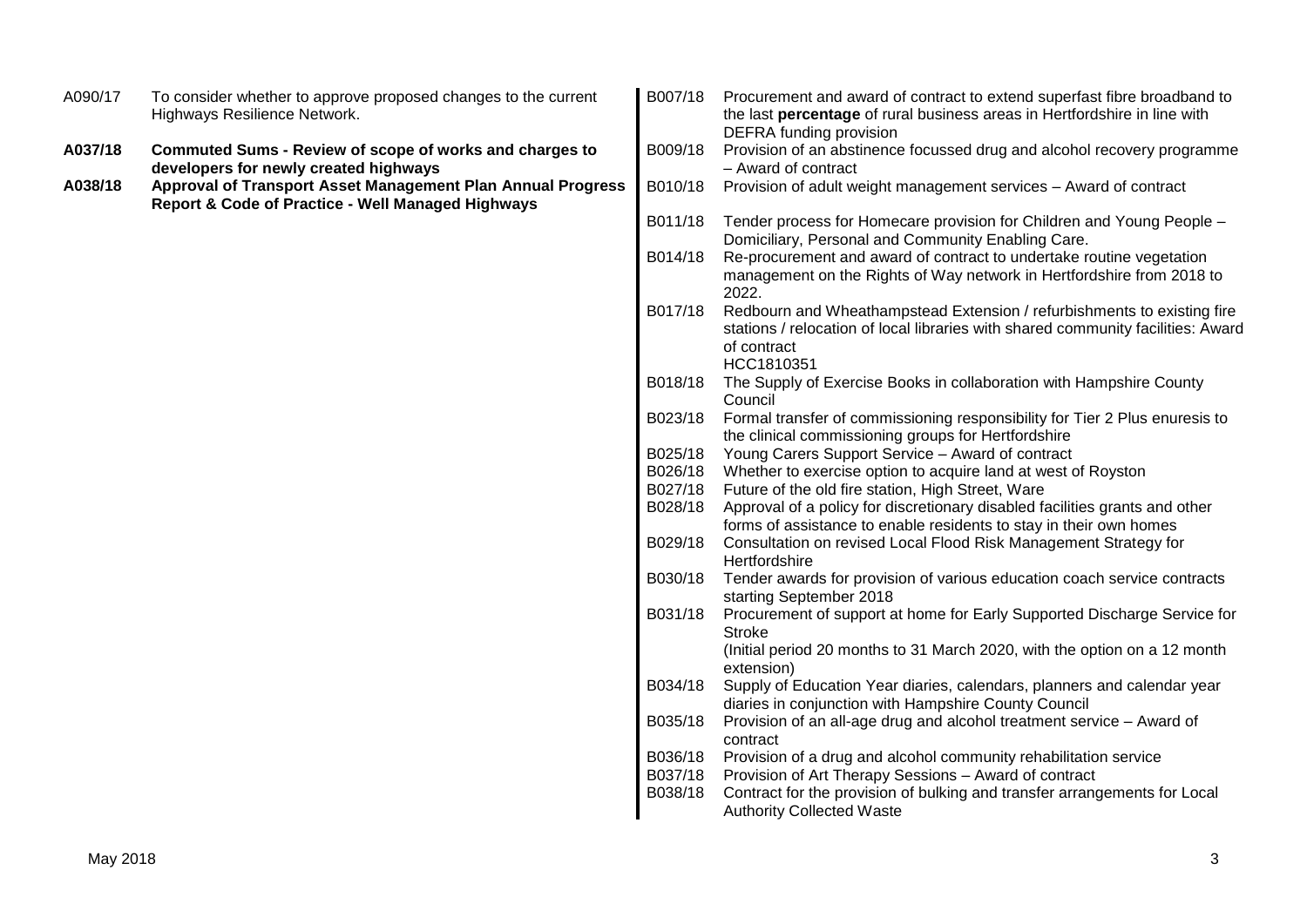| A090/17 | To consider whether to approve proposed changes to the current<br>Highways Resilience Network.                   | B007/18 | Procurement and award of contract to extend superfast fibre broadband to<br>the last percentage of rural business areas in Hertfordshire in line with<br>DEFRA funding provision         |
|---------|------------------------------------------------------------------------------------------------------------------|---------|------------------------------------------------------------------------------------------------------------------------------------------------------------------------------------------|
| A037/18 | <b>Commuted Sums - Review of scope of works and charges to</b><br>developers for newly created highways          | B009/18 | Provision of an abstinence focussed drug and alcohol recovery programme<br>- Award of contract                                                                                           |
| A038/18 | Approval of Transport Asset Management Plan Annual Progress<br>Report & Code of Practice - Well Managed Highways | B010/18 | Provision of adult weight management services - Award of contract                                                                                                                        |
|         |                                                                                                                  | B011/18 | Tender process for Homecare provision for Children and Young People -<br>Domiciliary, Personal and Community Enabling Care.                                                              |
|         |                                                                                                                  | B014/18 | Re-procurement and award of contract to undertake routine vegetation<br>management on the Rights of Way network in Hertfordshire from 2018 to<br>2022.                                   |
|         |                                                                                                                  | B017/18 | Redbourn and Wheathampstead Extension / refurbishments to existing fire<br>stations / relocation of local libraries with shared community facilities: Award<br>of contract<br>HCC1810351 |
|         |                                                                                                                  | B018/18 | The Supply of Exercise Books in collaboration with Hampshire County<br>Council                                                                                                           |
|         |                                                                                                                  | B023/18 | Formal transfer of commissioning responsibility for Tier 2 Plus enuresis to<br>the clinical commissioning groups for Hertfordshire                                                       |
|         |                                                                                                                  | B025/18 | Young Carers Support Service - Award of contract                                                                                                                                         |
|         |                                                                                                                  | B026/18 | Whether to exercise option to acquire land at west of Royston                                                                                                                            |
|         |                                                                                                                  | B027/18 | Future of the old fire station, High Street, Ware                                                                                                                                        |
|         |                                                                                                                  | B028/18 | Approval of a policy for discretionary disabled facilities grants and other                                                                                                              |
|         |                                                                                                                  |         | forms of assistance to enable residents to stay in their own homes                                                                                                                       |
|         |                                                                                                                  | B029/18 | Consultation on revised Local Flood Risk Management Strategy for<br>Hertfordshire                                                                                                        |
|         |                                                                                                                  | B030/18 | Tender awards for provision of various education coach service contracts<br>starting September 2018                                                                                      |
|         |                                                                                                                  | B031/18 | Procurement of support at home for Early Supported Discharge Service for<br><b>Stroke</b>                                                                                                |
|         |                                                                                                                  |         | (Initial period 20 months to 31 March 2020, with the option on a 12 month<br>extension)                                                                                                  |
|         |                                                                                                                  | B034/18 | Supply of Education Year diaries, calendars, planners and calendar year<br>diaries in conjunction with Hampshire County Council                                                          |
|         |                                                                                                                  | B035/18 | Provision of an all-age drug and alcohol treatment service - Award of<br>contract                                                                                                        |
|         |                                                                                                                  | B036/18 | Provision of a drug and alcohol community rehabilitation service                                                                                                                         |
|         |                                                                                                                  | B037/18 | Provision of Art Therapy Sessions - Award of contract                                                                                                                                    |
|         |                                                                                                                  | B038/18 | Contract for the provision of bulking and transfer arrangements for Local<br><b>Authority Collected Waste</b>                                                                            |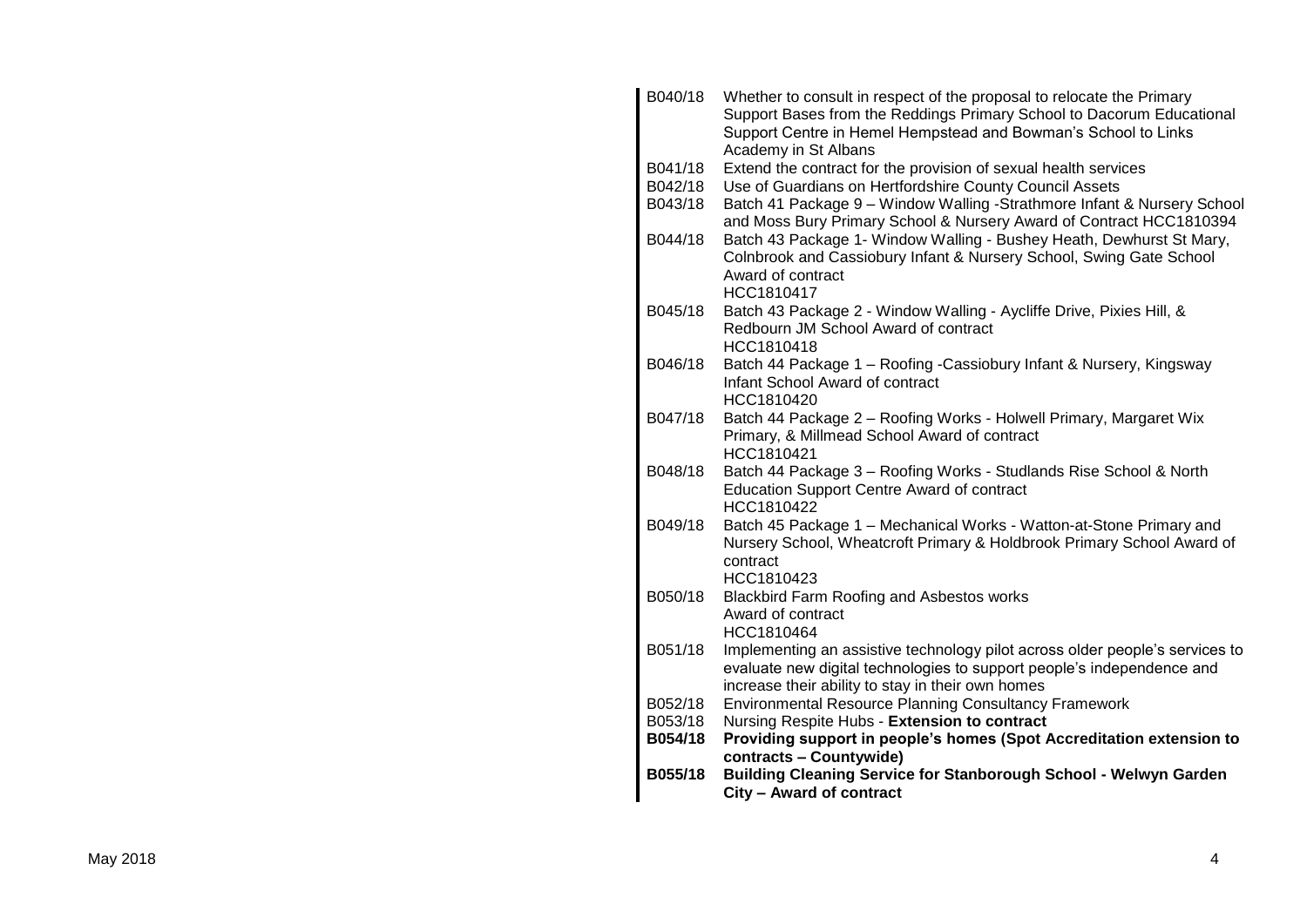| B040/18 | Whether to consult in respect of the proposal to relocate the Primary                                                                                            |
|---------|------------------------------------------------------------------------------------------------------------------------------------------------------------------|
|         | Support Bases from the Reddings Primary School to Dacorum Educational<br>Support Centre in Hemel Hempstead and Bowman's School to Links                          |
|         | Academy in St Albans                                                                                                                                             |
| B041/18 | Extend the contract for the provision of sexual health services                                                                                                  |
| B042/18 | Use of Guardians on Hertfordshire County Council Assets                                                                                                          |
| B043/18 | Batch 41 Package 9 - Window Walling -Strathmore Infant & Nursery School<br>and Moss Bury Primary School & Nursery Award of Contract HCC1810394                   |
| B044/18 | Batch 43 Package 1- Window Walling - Bushey Heath, Dewhurst St Mary,<br>Colnbrook and Cassiobury Infant & Nursery School, Swing Gate School<br>Award of contract |
| B045/18 | HCC1810417                                                                                                                                                       |
|         | Batch 43 Package 2 - Window Walling - Aycliffe Drive, Pixies Hill, &<br>Redbourn JM School Award of contract<br>HCC1810418                                       |
| B046/18 | Batch 44 Package 1 - Roofing - Cassiobury Infant & Nursery, Kingsway                                                                                             |
|         | Infant School Award of contract                                                                                                                                  |
|         | HCC1810420                                                                                                                                                       |
| B047/18 | Batch 44 Package 2 - Roofing Works - Holwell Primary, Margaret Wix<br>Primary, & Millmead School Award of contract<br>HCC1810421                                 |
| B048/18 | Batch 44 Package 3 - Roofing Works - Studlands Rise School & North                                                                                               |
|         | <b>Education Support Centre Award of contract</b><br>HCC1810422                                                                                                  |
| B049/18 | Batch 45 Package 1 - Mechanical Works - Watton-at-Stone Primary and                                                                                              |
|         | Nursery School, Wheatcroft Primary & Holdbrook Primary School Award of                                                                                           |
|         | contract                                                                                                                                                         |
| B050/18 | HCC1810423                                                                                                                                                       |
|         | Blackbird Farm Roofing and Asbestos works<br>Award of contract                                                                                                   |
|         | HCC1810464                                                                                                                                                       |
| B051/18 | Implementing an assistive technology pilot across older people's services to                                                                                     |
|         | evaluate new digital technologies to support people's independence and                                                                                           |
|         | increase their ability to stay in their own homes                                                                                                                |
| B052/18 | <b>Environmental Resource Planning Consultancy Framework</b>                                                                                                     |
| B053/18 | Nursing Respite Hubs - Extension to contract                                                                                                                     |
| B054/18 | Providing support in people's homes (Spot Accreditation extension to                                                                                             |
|         | contracts - Countywide)                                                                                                                                          |
| B055/18 | Building Cleaning Service for Stanborough School - Welwyn Garden<br>City - Award of contract                                                                     |
|         |                                                                                                                                                                  |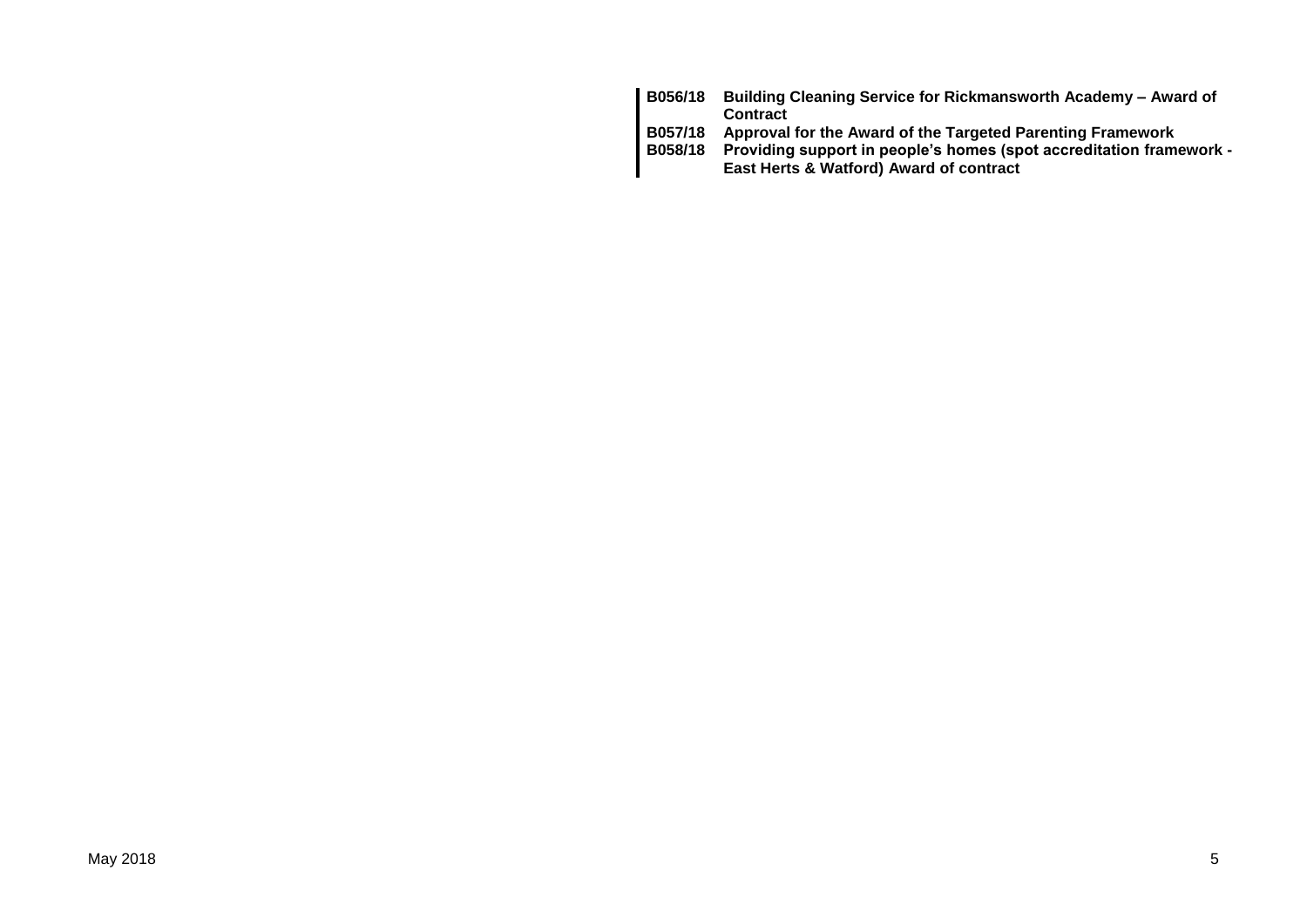| B056/18        | Building Cleaning Service for Rickmansworth Academy - Award of      |
|----------------|---------------------------------------------------------------------|
|                | <b>Contract</b>                                                     |
| B057/18        | Approval for the Award of the Targeted Parenting Framework          |
| <b>B058/18</b> | Providing support in people's homes (spot accreditation framework - |
|                | East Herts & Watford) Award of contract                             |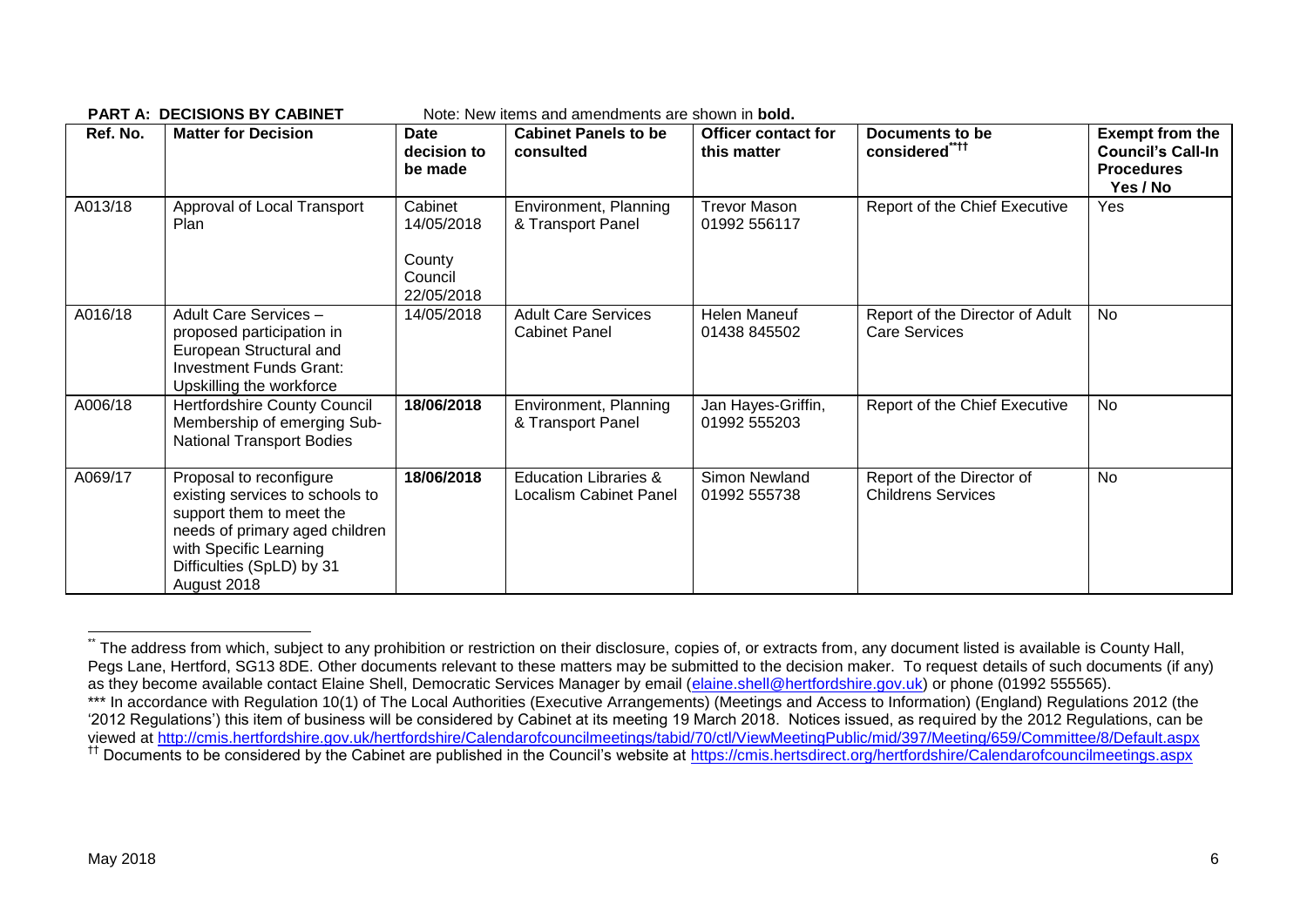| Note: New items and amendments are shown in <b>bold.</b><br><b>PART A: DECISIONS BY CABINET</b> |                                                                                                                                                                                                |                                                          |                                                                   |                                           |                                                         |                                                                                     |  |  |
|-------------------------------------------------------------------------------------------------|------------------------------------------------------------------------------------------------------------------------------------------------------------------------------------------------|----------------------------------------------------------|-------------------------------------------------------------------|-------------------------------------------|---------------------------------------------------------|-------------------------------------------------------------------------------------|--|--|
| Ref. No.                                                                                        | <b>Matter for Decision</b>                                                                                                                                                                     | <b>Date</b><br>decision to<br>be made                    | <b>Cabinet Panels to be</b><br>consulted                          | <b>Officer contact for</b><br>this matter | Documents to be<br>considered <sup>"***</sup>           | <b>Exempt from the</b><br><b>Council's Call-In</b><br><b>Procedures</b><br>Yes / No |  |  |
| A013/18                                                                                         | Approval of Local Transport<br>Plan                                                                                                                                                            | Cabinet<br>14/05/2018<br>County<br>Council<br>22/05/2018 | Environment, Planning<br>& Transport Panel                        | <b>Trevor Mason</b><br>01992 556117       | Report of the Chief Executive                           | Yes                                                                                 |  |  |
| A016/18                                                                                         | Adult Care Services -<br>proposed participation in<br>European Structural and<br>Investment Funds Grant:<br>Upskilling the workforce                                                           | 14/05/2018                                               | <b>Adult Care Services</b><br><b>Cabinet Panel</b>                | Helen Maneuf<br>01438 845502              | Report of the Director of Adult<br><b>Care Services</b> | <b>No</b>                                                                           |  |  |
| A006/18                                                                                         | Hertfordshire County Council<br>Membership of emerging Sub-<br><b>National Transport Bodies</b>                                                                                                | 18/06/2018                                               | Environment, Planning<br>& Transport Panel                        | Jan Hayes-Griffin,<br>01992 555203        | Report of the Chief Executive                           | <b>No</b>                                                                           |  |  |
| A069/17                                                                                         | Proposal to reconfigure<br>existing services to schools to<br>support them to meet the<br>needs of primary aged children<br>with Specific Learning<br>Difficulties (SpLD) by 31<br>August 2018 | 18/06/2018                                               | <b>Education Libraries &amp;</b><br><b>Localism Cabinet Panel</b> | Simon Newland<br>01992 555738             | Report of the Director of<br><b>Childrens Services</b>  | No                                                                                  |  |  |

The address from which, subject to any prohibition or restriction on their disclosure, copies of, or extracts from, any document listed is available is County Hall, Pegs Lane, Hertford, SG13 8DE. Other documents relevant to these matters may be submitted to the decision maker. To request details of such documents (if any) as they become available contact Elaine Shell, Democratic Services Manager by email [\(elaine.shell@hertfordshire.gov.uk\)](mailto:elaine.shell@hertfordshire.gov.uk) or phone (01992 555565). \*\*\* In accordance with Regulation 10(1) of The Local Authorities (Executive Arrangements) (Meetings and Access to Information) (England) Regulations 2012 (the '2012 Regulations') this item of business will be considered by Cabinet at its meeting 19 March 2018. Notices issued, as required by the 2012 Regulations, can be viewed at<http://cmis.hertfordshire.gov.uk/hertfordshire/Calendarofcouncilmeetings/tabid/70/ctl/ViewMeetingPublic/mid/397/Meeting/659/Committee/8/Default.aspx> <sup>††</sup> Documents to be considered by the Cabinet are published in the Council's website at<https://cmis.hertsdirect.org/hertfordshire/Calendarofcouncilmeetings.aspx>

1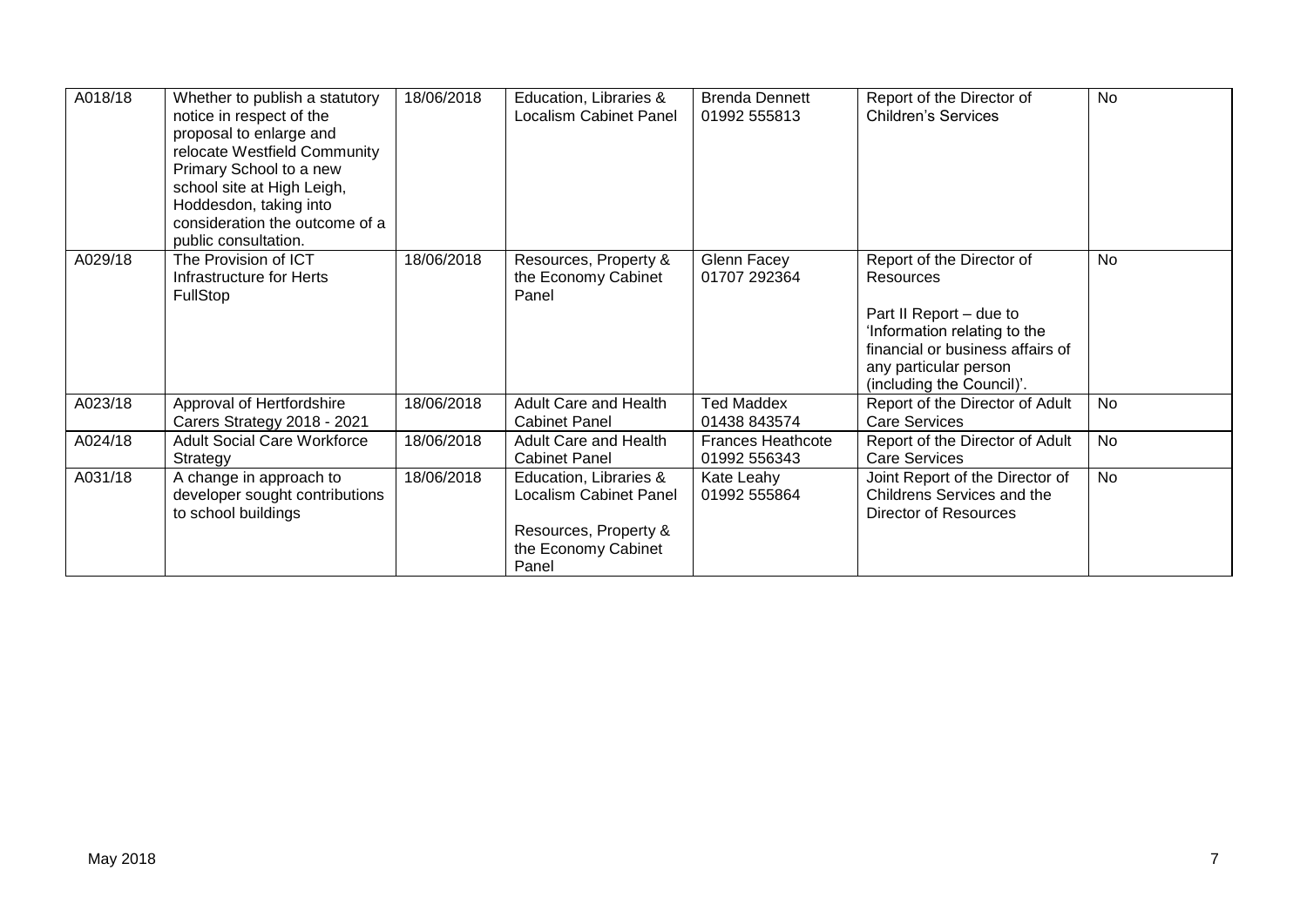| A018/18 | Whether to publish a statutory<br>notice in respect of the<br>proposal to enlarge and<br>relocate Westfield Community<br>Primary School to a new<br>school site at High Leigh,<br>Hoddesdon, taking into<br>consideration the outcome of a<br>public consultation. | 18/06/2018 | Education, Libraries &<br>Localism Cabinet Panel                                                          | <b>Brenda Dennett</b><br>01992 555813    | Report of the Director of<br><b>Children's Services</b>                                                                                                                                     | <b>No</b> |
|---------|--------------------------------------------------------------------------------------------------------------------------------------------------------------------------------------------------------------------------------------------------------------------|------------|-----------------------------------------------------------------------------------------------------------|------------------------------------------|---------------------------------------------------------------------------------------------------------------------------------------------------------------------------------------------|-----------|
| A029/18 | The Provision of ICT<br>Infrastructure for Herts<br><b>FullStop</b>                                                                                                                                                                                                | 18/06/2018 | Resources, Property &<br>the Economy Cabinet<br>Panel                                                     | Glenn Facey<br>01707 292364              | Report of the Director of<br>Resources<br>Part II Report - due to<br>'Information relating to the<br>financial or business affairs of<br>any particular person<br>(including the Council)'. | <b>No</b> |
| A023/18 | Approval of Hertfordshire<br>Carers Strategy 2018 - 2021                                                                                                                                                                                                           | 18/06/2018 | Adult Care and Health<br><b>Cabinet Panel</b>                                                             | <b>Ted Maddex</b><br>01438 843574        | Report of the Director of Adult<br><b>Care Services</b>                                                                                                                                     | <b>No</b> |
| A024/18 | <b>Adult Social Care Workforce</b><br>Strategy                                                                                                                                                                                                                     | 18/06/2018 | Adult Care and Health<br><b>Cabinet Panel</b>                                                             | <b>Frances Heathcote</b><br>01992 556343 | Report of the Director of Adult<br><b>Care Services</b>                                                                                                                                     | <b>No</b> |
| A031/18 | A change in approach to<br>developer sought contributions<br>to school buildings                                                                                                                                                                                   | 18/06/2018 | Education, Libraries &<br>Localism Cabinet Panel<br>Resources, Property &<br>the Economy Cabinet<br>Panel | Kate Leahy<br>01992 555864               | Joint Report of the Director of<br>Childrens Services and the<br>Director of Resources                                                                                                      | <b>No</b> |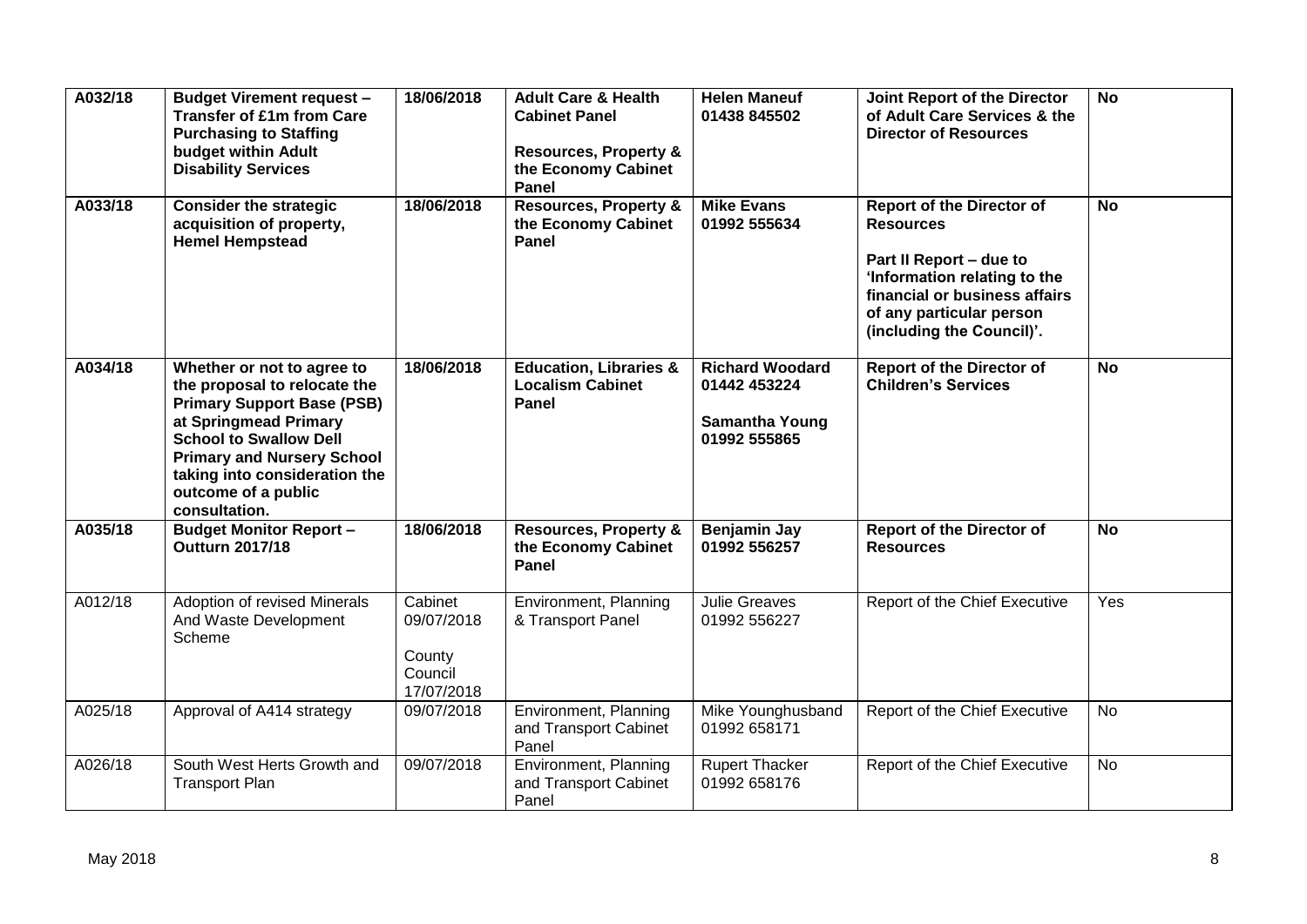| A032/18 | <b>Budget Virement request -</b><br><b>Transfer of £1m from Care</b><br><b>Purchasing to Staffing</b><br>budget within Adult<br><b>Disability Services</b>                                                                                                              | 18/06/2018                                               | <b>Adult Care &amp; Health</b><br><b>Cabinet Panel</b><br><b>Resources, Property &amp;</b><br>the Economy Cabinet<br>Panel | <b>Helen Maneuf</b><br>01438 845502                                             | Joint Report of the Director<br>of Adult Care Services & the<br><b>Director of Resources</b>                                                                                                              | <b>No</b> |
|---------|-------------------------------------------------------------------------------------------------------------------------------------------------------------------------------------------------------------------------------------------------------------------------|----------------------------------------------------------|----------------------------------------------------------------------------------------------------------------------------|---------------------------------------------------------------------------------|-----------------------------------------------------------------------------------------------------------------------------------------------------------------------------------------------------------|-----------|
| A033/18 | <b>Consider the strategic</b><br>acquisition of property,<br><b>Hemel Hempstead</b>                                                                                                                                                                                     | 18/06/2018                                               | <b>Resources, Property &amp;</b><br>the Economy Cabinet<br>Panel                                                           | <b>Mike Evans</b><br>01992 555634                                               | <b>Report of the Director of</b><br><b>Resources</b><br>Part II Report - due to<br>'Information relating to the<br>financial or business affairs<br>of any particular person<br>(including the Council)'. | <b>No</b> |
| A034/18 | Whether or not to agree to<br>the proposal to relocate the<br><b>Primary Support Base (PSB)</b><br>at Springmead Primary<br><b>School to Swallow Dell</b><br><b>Primary and Nursery School</b><br>taking into consideration the<br>outcome of a public<br>consultation. | 18/06/2018                                               | <b>Education, Libraries &amp;</b><br><b>Localism Cabinet</b><br><b>Panel</b>                                               | <b>Richard Woodard</b><br>01442 453224<br><b>Samantha Young</b><br>01992 555865 | <b>Report of the Director of</b><br><b>Children's Services</b>                                                                                                                                            | <b>No</b> |
| A035/18 | <b>Budget Monitor Report -</b><br><b>Outturn 2017/18</b>                                                                                                                                                                                                                | 18/06/2018                                               | <b>Resources, Property &amp;</b><br>the Economy Cabinet<br>Panel                                                           | <b>Benjamin Jay</b><br>01992 556257                                             | <b>Report of the Director of</b><br><b>Resources</b>                                                                                                                                                      | <b>No</b> |
| A012/18 | Adoption of revised Minerals<br>And Waste Development<br>Scheme                                                                                                                                                                                                         | Cabinet<br>09/07/2018<br>County<br>Council<br>17/07/2018 | Environment, Planning<br>& Transport Panel                                                                                 | <b>Julie Greaves</b><br>01992 556227                                            | Report of the Chief Executive                                                                                                                                                                             | Yes       |
| A025/18 | Approval of A414 strategy                                                                                                                                                                                                                                               | 09/07/2018                                               | Environment, Planning<br>and Transport Cabinet<br>Panel                                                                    | Mike Younghusband<br>01992 658171                                               | Report of the Chief Executive                                                                                                                                                                             | <b>No</b> |
| A026/18 | South West Herts Growth and<br><b>Transport Plan</b>                                                                                                                                                                                                                    | 09/07/2018                                               | Environment, Planning<br>and Transport Cabinet<br>Panel                                                                    | <b>Rupert Thacker</b><br>01992 658176                                           | Report of the Chief Executive                                                                                                                                                                             | <b>No</b> |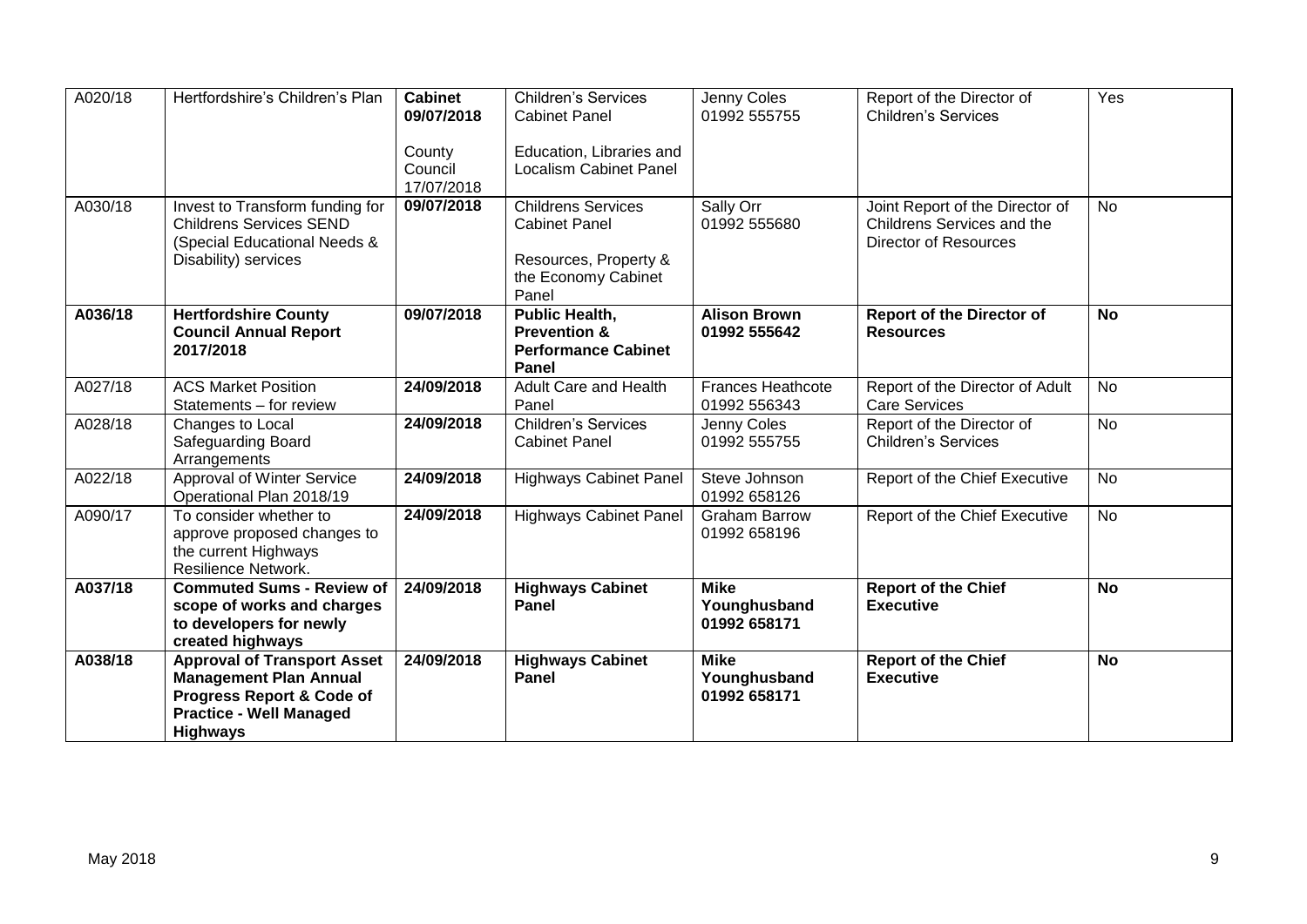| A020/18 | Hertfordshire's Children's Plan                                                                                                                       | <b>Cabinet</b><br>09/07/2018<br>County<br>Council<br>17/07/2018 | <b>Children's Services</b><br><b>Cabinet Panel</b><br>Education, Libraries and<br><b>Localism Cabinet Panel</b> | Jenny Coles<br>01992 555755                 | Report of the Director of<br><b>Children's Services</b>                                       | Yes       |
|---------|-------------------------------------------------------------------------------------------------------------------------------------------------------|-----------------------------------------------------------------|-----------------------------------------------------------------------------------------------------------------|---------------------------------------------|-----------------------------------------------------------------------------------------------|-----------|
| A030/18 | Invest to Transform funding for<br><b>Childrens Services SEND</b><br>(Special Educational Needs &<br>Disability) services                             | 09/07/2018                                                      | <b>Childrens Services</b><br><b>Cabinet Panel</b><br>Resources, Property &<br>the Economy Cabinet<br>Panel      | Sally Orr<br>01992 555680                   | Joint Report of the Director of<br>Childrens Services and the<br><b>Director of Resources</b> | <b>No</b> |
| A036/18 | <b>Hertfordshire County</b><br><b>Council Annual Report</b><br>2017/2018                                                                              | 09/07/2018                                                      | <b>Public Health,</b><br><b>Prevention &amp;</b><br><b>Performance Cabinet</b><br>Panel                         | <b>Alison Brown</b><br>01992 555642         | <b>Report of the Director of</b><br><b>Resources</b>                                          | <b>No</b> |
| A027/18 | <b>ACS Market Position</b><br>Statements - for review                                                                                                 | 24/09/2018                                                      | Adult Care and Health<br>Panel                                                                                  | <b>Frances Heathcote</b><br>01992 556343    | Report of the Director of Adult<br><b>Care Services</b>                                       | <b>No</b> |
| A028/18 | Changes to Local<br>Safeguarding Board<br>Arrangements                                                                                                | 24/09/2018                                                      | <b>Children's Services</b><br><b>Cabinet Panel</b>                                                              | Jenny Coles<br>01992 555755                 | Report of the Director of<br><b>Children's Services</b>                                       | <b>No</b> |
| A022/18 | Approval of Winter Service<br>Operational Plan 2018/19                                                                                                | 24/09/2018                                                      | <b>Highways Cabinet Panel</b>                                                                                   | Steve Johnson<br>01992 658126               | Report of the Chief Executive                                                                 | <b>No</b> |
| A090/17 | To consider whether to<br>approve proposed changes to<br>the current Highways<br>Resilience Network.                                                  | 24/09/2018                                                      | <b>Highways Cabinet Panel</b>                                                                                   | <b>Graham Barrow</b><br>01992 658196        | Report of the Chief Executive                                                                 | <b>No</b> |
| A037/18 | <b>Commuted Sums - Review of</b><br>scope of works and charges<br>to developers for newly<br>created highways                                         | 24/09/2018                                                      | <b>Highways Cabinet</b><br>Panel                                                                                | <b>Mike</b><br>Younghusband<br>01992 658171 | <b>Report of the Chief</b><br><b>Executive</b>                                                | <b>No</b> |
| A038/18 | <b>Approval of Transport Asset</b><br><b>Management Plan Annual</b><br>Progress Report & Code of<br><b>Practice - Well Managed</b><br><b>Highways</b> | 24/09/2018                                                      | <b>Highways Cabinet</b><br>Panel                                                                                | <b>Mike</b><br>Younghusband<br>01992 658171 | <b>Report of the Chief</b><br><b>Executive</b>                                                | <b>No</b> |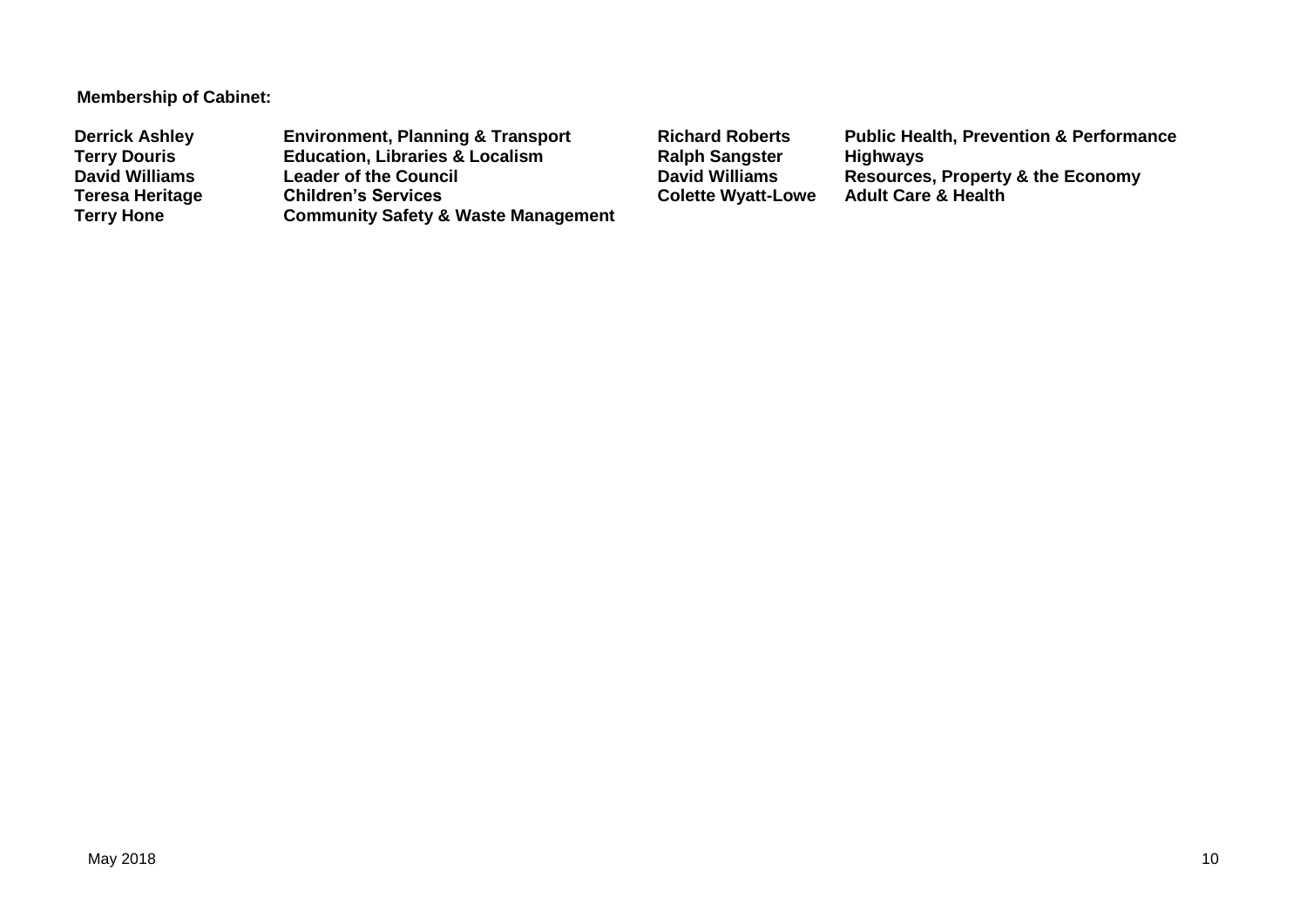#### **Membership of Cabinet:**

**Derrick Ashley Environment, Planning & Transport Richard Roberts Public Health, Prevention & Performance Terry Douris Education, Libraries & Localism Ralph Sangster David Williams Construction Ralph Sangster David Williams David Williams Leader of the Council David Williams Resources, Property & the Economy Teresa Heritage Children's Services Colette Wyatt-Lowe**<br> **Colette Wyatt-Lowe**<br> **Community Safety & Waste Management Community Safety & Waste Management**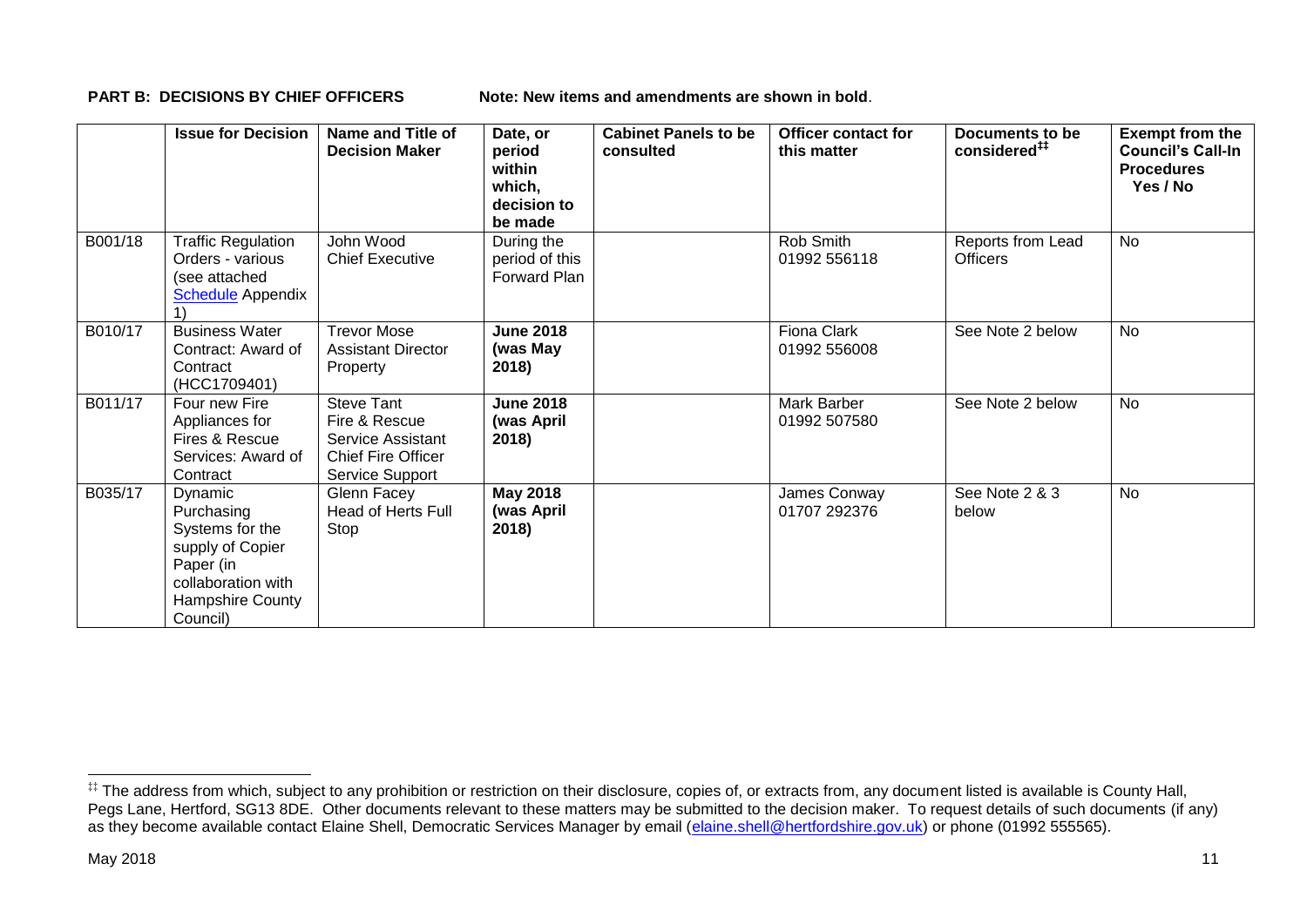**PART B: DECISIONS BY CHIEF OFFICERS Note: New items and amendments are shown in bold.** 

|         | <b>Issue for Decision</b>                                                                                                       | Name and Title of<br><b>Decision Maker</b>                                                                     | Date, or<br>period<br>within<br>which,<br>decision to<br>be made | <b>Cabinet Panels to be</b><br>consulted | <b>Officer contact for</b><br>this matter | Documents to be<br>considered <sup>##</sup> | <b>Exempt from the</b><br><b>Council's Call-In</b><br><b>Procedures</b><br>Yes / No |
|---------|---------------------------------------------------------------------------------------------------------------------------------|----------------------------------------------------------------------------------------------------------------|------------------------------------------------------------------|------------------------------------------|-------------------------------------------|---------------------------------------------|-------------------------------------------------------------------------------------|
| B001/18 | <b>Traffic Regulation</b><br>Orders - various<br>(see attached<br><b>Schedule</b> Appendix                                      | John Wood<br><b>Chief Executive</b>                                                                            | During the<br>period of this<br>Forward Plan                     |                                          | Rob Smith<br>01992 556118                 | Reports from Lead<br><b>Officers</b>        | <b>No</b>                                                                           |
| B010/17 | <b>Business Water</b><br>Contract: Award of<br>Contract<br>(HCC1709401)                                                         | <b>Trevor Mose</b><br><b>Assistant Director</b><br>Property                                                    | <b>June 2018</b><br>(was May<br>2018)                            |                                          | Fiona Clark<br>01992 556008               | See Note 2 below                            | No                                                                                  |
| B011/17 | Four new Fire<br>Appliances for<br>Fires & Rescue<br>Services: Award of<br>Contract                                             | <b>Steve Tant</b><br>Fire & Rescue<br>Service Assistant<br><b>Chief Fire Officer</b><br><b>Service Support</b> | <b>June 2018</b><br>(was April<br>2018)                          |                                          | Mark Barber<br>01992 507580               | See Note 2 below                            | No                                                                                  |
| B035/17 | Dynamic<br>Purchasing<br>Systems for the<br>supply of Copier<br>Paper (in<br>collaboration with<br>Hampshire County<br>Council) | Glenn Facey<br><b>Head of Herts Full</b><br>Stop                                                               | <b>May 2018</b><br>(was April<br>2018)                           |                                          | James Conway<br>01707 292376              | See Note 2 & 3<br>below                     | <b>No</b>                                                                           |

1

<sup>‡‡</sup> The address from which, subject to any prohibition or restriction on their disclosure, copies of, or extracts from, any document listed is available is County Hall, Pegs Lane, Hertford, SG13 8DE. Other documents relevant to these matters may be submitted to the decision maker. To request details of such documents (if any) as they become available contact Elaine Shell, Democratic Services Manager by email [\(elaine.shell@hertfordshire.gov.uk\)](mailto:elaine.shell@hertfordshire.gov.uk) or phone (01992 55565).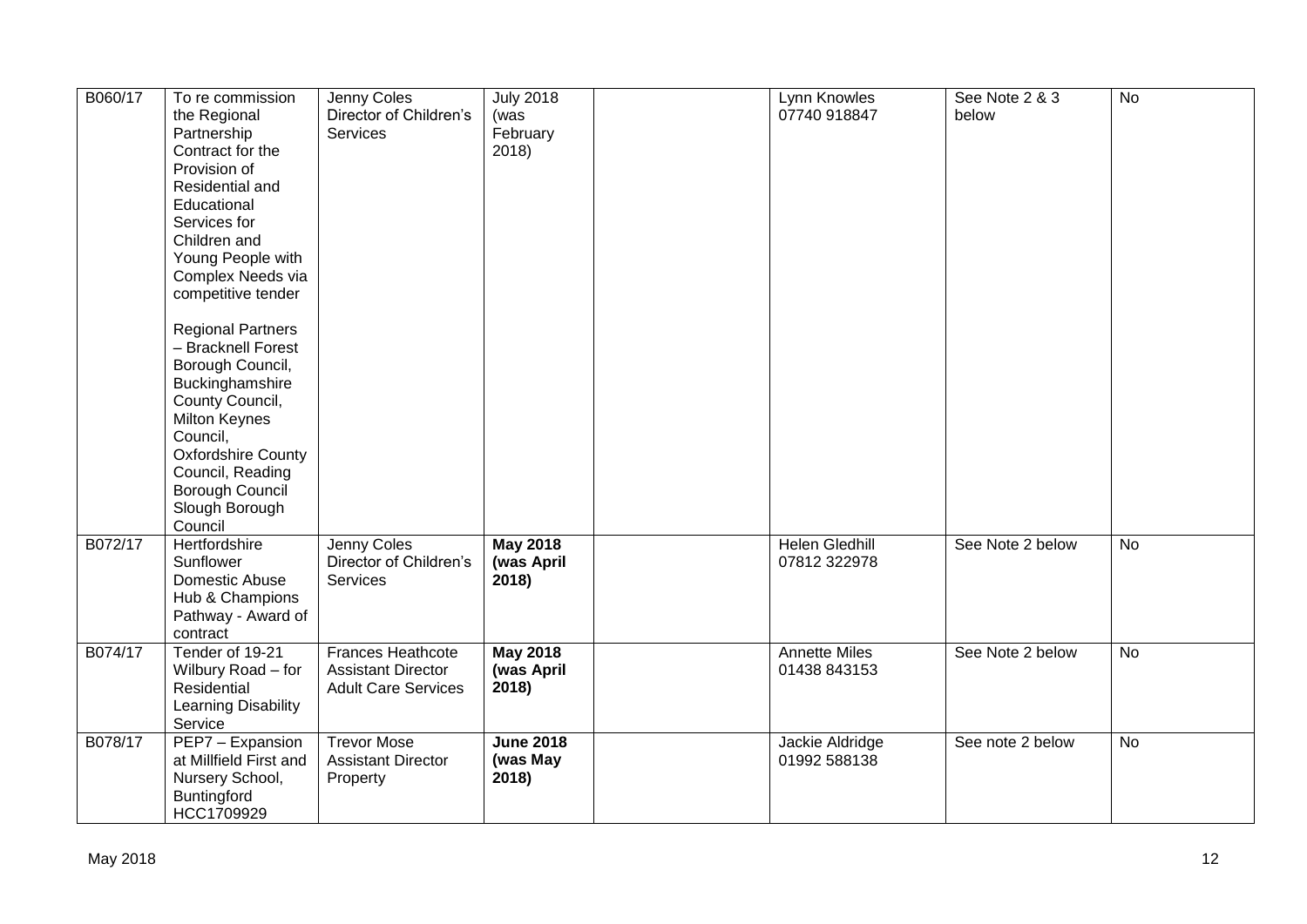| B060/17 | To re commission<br>the Regional<br>Partnership<br>Contract for the<br>Provision of<br>Residential and<br>Educational<br>Services for<br>Children and<br>Young People with<br>Complex Needs via<br>competitive tender<br><b>Regional Partners</b><br>- Bracknell Forest<br>Borough Council,<br>Buckinghamshire<br>County Council,<br><b>Milton Keynes</b><br>Council,<br><b>Oxfordshire County</b><br>Council, Reading<br>Borough Council<br>Slough Borough<br>Council | Jenny Coles<br>Director of Children's<br>Services                            | <b>July 2018</b><br>(was<br>February<br>2018) | Lynn Knowles<br>07740 918847          | See Note 2 & 3<br>below | $\overline{N}$ |
|---------|------------------------------------------------------------------------------------------------------------------------------------------------------------------------------------------------------------------------------------------------------------------------------------------------------------------------------------------------------------------------------------------------------------------------------------------------------------------------|------------------------------------------------------------------------------|-----------------------------------------------|---------------------------------------|-------------------------|----------------|
| B072/17 | Hertfordshire<br>Sunflower<br>Domestic Abuse<br>Hub & Champions<br>Pathway - Award of<br>contract                                                                                                                                                                                                                                                                                                                                                                      | Jenny Coles<br>Director of Children's<br>Services                            | <b>May 2018</b><br>(was April<br>2018)        | <b>Helen Gledhill</b><br>07812 322978 | See Note 2 below        | $\overline{N}$ |
| B074/17 | Tender of 19-21<br>Wilbury Road - for<br>Residential<br>Learning Disability<br>Service                                                                                                                                                                                                                                                                                                                                                                                 | Frances Heathcote<br><b>Assistant Director</b><br><b>Adult Care Services</b> | <b>May 2018</b><br>(was April<br>2018)        | Annette Miles<br>01438 843153         | See Note 2 below        | No             |
| B078/17 | PEP7 - Expansion<br>at Millfield First and<br>Nursery School,<br>Buntingford<br>HCC1709929                                                                                                                                                                                                                                                                                                                                                                             | <b>Trevor Mose</b><br><b>Assistant Director</b><br>Property                  | <b>June 2018</b><br>(was May<br>2018)         | Jackie Aldridge<br>01992 588138       | See note 2 below        | <b>No</b>      |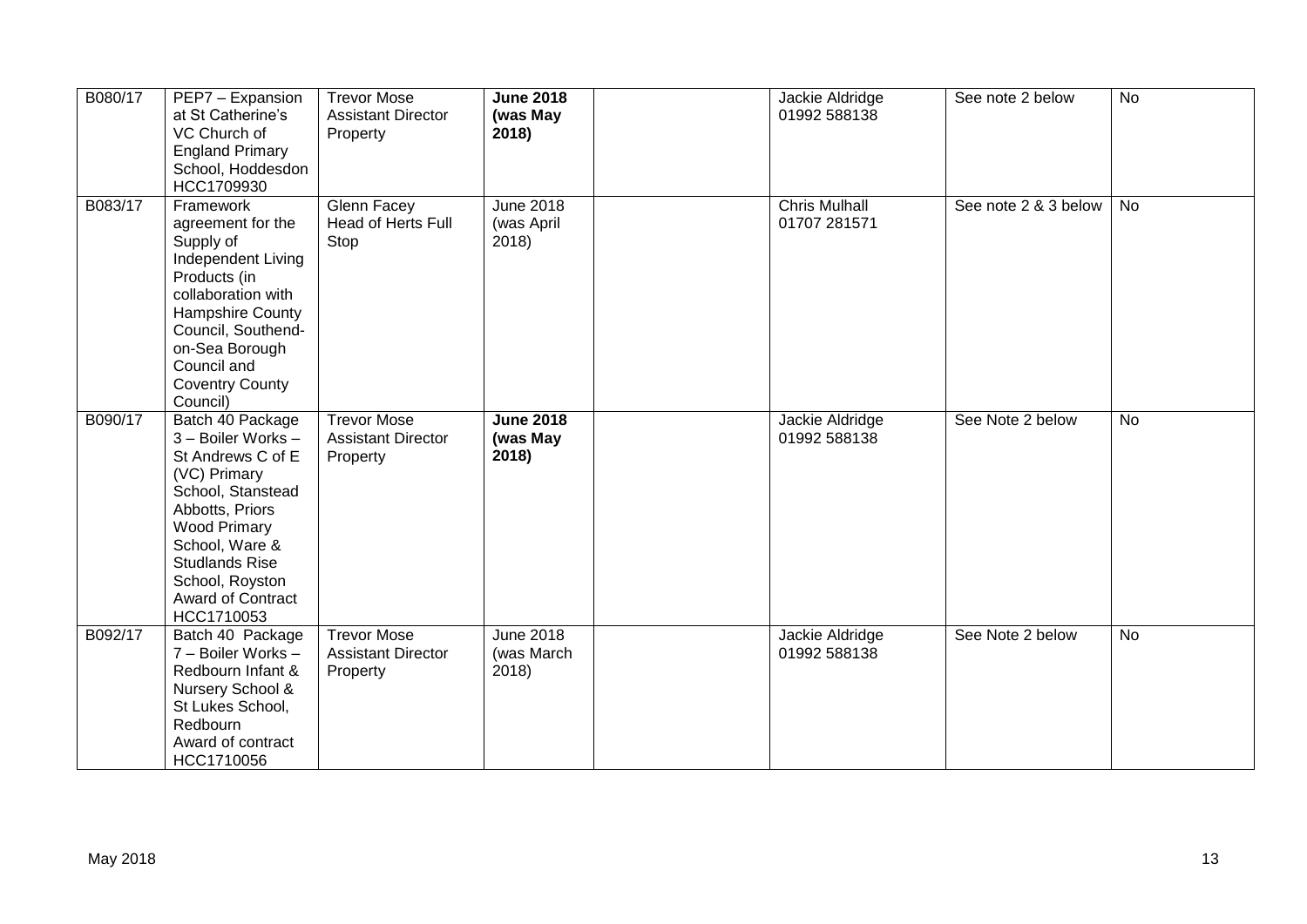| B080/17 | PEP7 - Expansion<br>at St Catherine's<br>VC Church of<br><b>England Primary</b><br>School, Hoddesdon<br>HCC1709930                                                                                                                                 | <b>Trevor Mose</b><br><b>Assistant Director</b><br>Property | <b>June 2018</b><br>(was May<br>2018)   | Jackie Aldridge<br>01992 588138      | See note 2 below     | $\overline{N}$ |
|---------|----------------------------------------------------------------------------------------------------------------------------------------------------------------------------------------------------------------------------------------------------|-------------------------------------------------------------|-----------------------------------------|--------------------------------------|----------------------|----------------|
| B083/17 | Framework<br>agreement for the<br>Supply of<br>Independent Living<br>Products (in<br>collaboration with<br>Hampshire County<br>Council, Southend-<br>on-Sea Borough<br>Council and<br><b>Coventry County</b><br>Council)                           | Glenn Facey<br>Head of Herts Full<br>Stop                   | <b>June 2018</b><br>(was April<br>2018) | <b>Chris Mulhall</b><br>01707 281571 | See note 2 & 3 below | No             |
| B090/17 | Batch 40 Package<br>3 - Boiler Works -<br>St Andrews C of E<br>(VC) Primary<br>School, Stanstead<br>Abbotts, Priors<br><b>Wood Primary</b><br>School, Ware &<br><b>Studlands Rise</b><br>School, Royston<br><b>Award of Contract</b><br>HCC1710053 | <b>Trevor Mose</b><br><b>Assistant Director</b><br>Property | <b>June 2018</b><br>(was May<br>2018)   | Jackie Aldridge<br>01992 588138      | See Note 2 below     | No             |
| B092/17 | Batch 40 Package<br>7 - Boiler Works -<br>Redbourn Infant &<br>Nursery School &<br>St Lukes School,<br>Redbourn<br>Award of contract<br>HCC1710056                                                                                                 | <b>Trevor Mose</b><br><b>Assistant Director</b><br>Property | <b>June 2018</b><br>(was March<br>2018) | Jackie Aldridge<br>01992 588138      | See Note 2 below     | <b>No</b>      |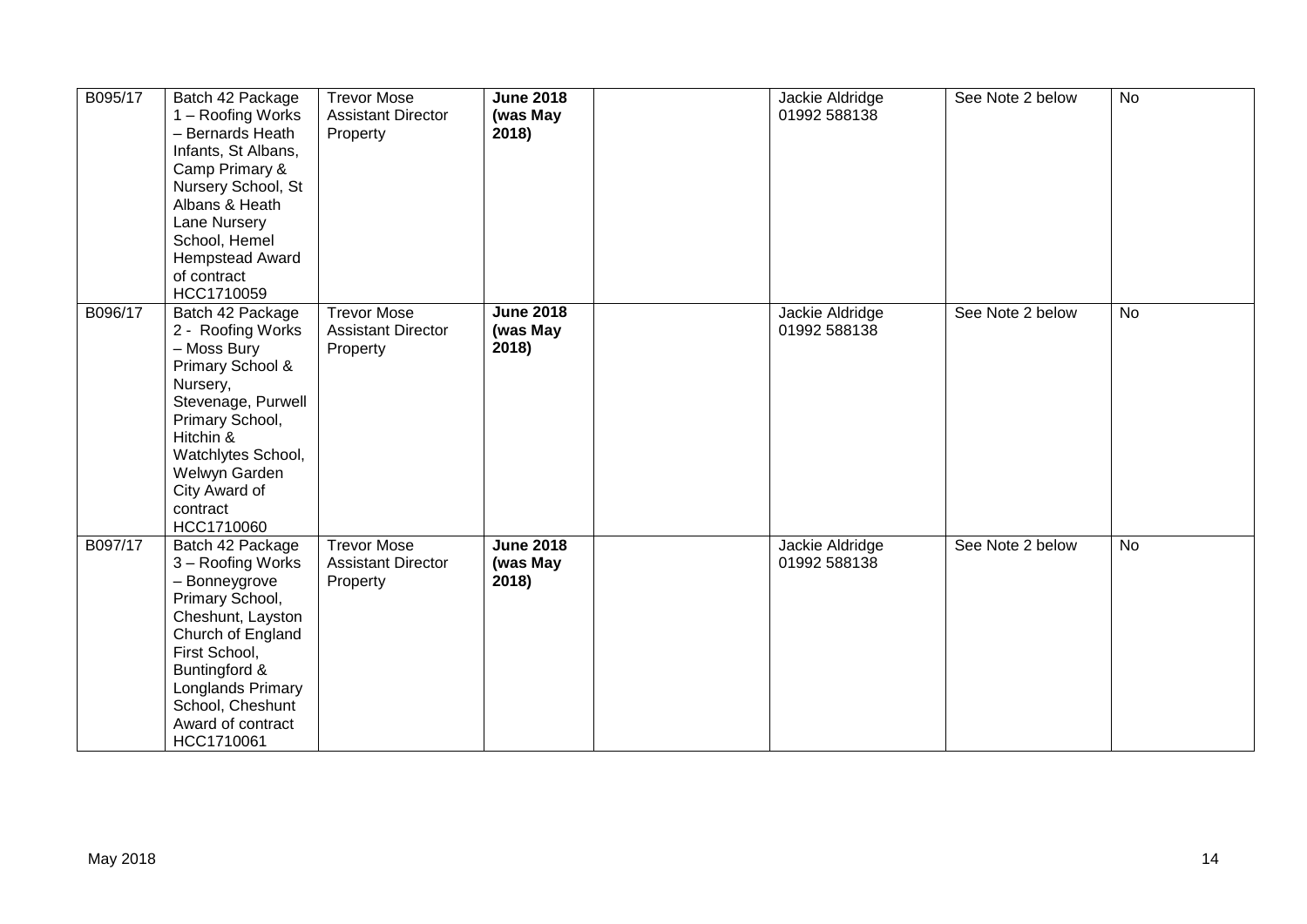| B095/17 | Batch 42 Package<br>1 - Roofing Works<br>- Bernards Heath<br>Infants, St Albans,<br>Camp Primary &<br>Nursery School, St<br>Albans & Heath<br>Lane Nursery<br>School, Hemel<br><b>Hempstead Award</b><br>of contract<br>HCC1710059 | <b>Trevor Mose</b><br><b>Assistant Director</b><br>Property | <b>June 2018</b><br>(was May<br>2018) | Jackie Aldridge<br>01992 588138 | See Note 2 below | <b>No</b> |
|---------|------------------------------------------------------------------------------------------------------------------------------------------------------------------------------------------------------------------------------------|-------------------------------------------------------------|---------------------------------------|---------------------------------|------------------|-----------|
| B096/17 | Batch 42 Package<br>2 - Roofing Works<br>- Moss Bury<br>Primary School &<br>Nursery,<br>Stevenage, Purwell<br>Primary School,<br>Hitchin &<br>Watchlytes School,<br>Welwyn Garden<br>City Award of<br>contract<br>HCC1710060       | <b>Trevor Mose</b><br><b>Assistant Director</b><br>Property | <b>June 2018</b><br>(was May<br>2018) | Jackie Aldridge<br>01992 588138 | See Note 2 below | <b>No</b> |
| B097/17 | Batch 42 Package<br>3 - Roofing Works<br>- Bonneygrove<br>Primary School,<br>Cheshunt, Layston<br>Church of England<br>First School,<br>Buntingford &<br>Longlands Primary<br>School, Cheshunt<br>Award of contract<br>HCC1710061  | <b>Trevor Mose</b><br><b>Assistant Director</b><br>Property | <b>June 2018</b><br>(was May<br>2018) | Jackie Aldridge<br>01992 588138 | See Note 2 below | <b>No</b> |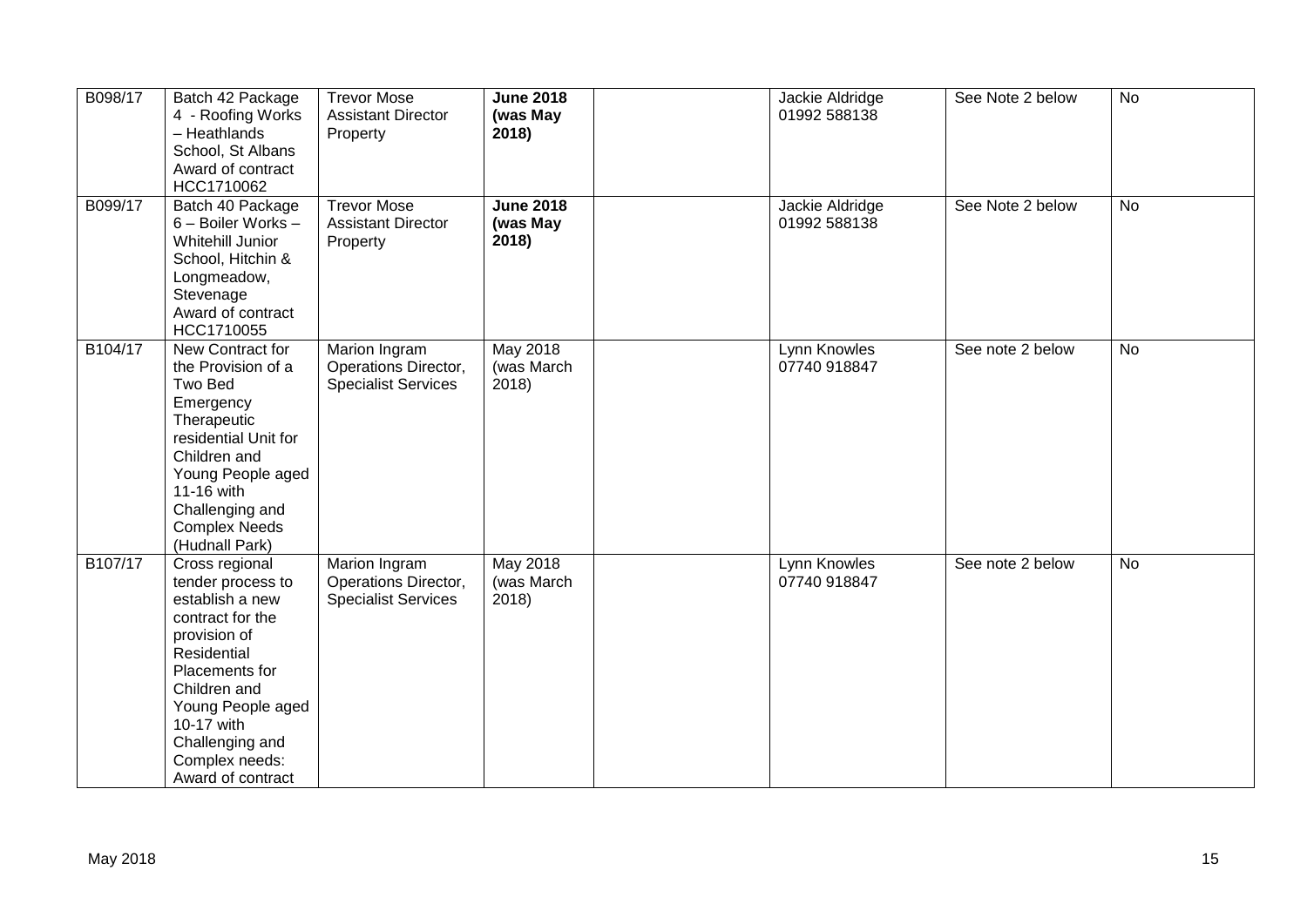| B098/17 | Batch 42 Package<br>4 - Roofing Works<br>- Heathlands<br>School, St Albans<br>Award of contract<br>HCC1710062                                                                                                                            | <b>Trevor Mose</b><br><b>Assistant Director</b><br>Property         | <b>June 2018</b><br>(was May<br>2018)  | Jackie Aldridge<br>01992 588138 | See Note 2 below | <b>No</b> |
|---------|------------------------------------------------------------------------------------------------------------------------------------------------------------------------------------------------------------------------------------------|---------------------------------------------------------------------|----------------------------------------|---------------------------------|------------------|-----------|
| B099/17 | Batch 40 Package<br>6 - Boiler Works -<br><b>Whitehill Junior</b><br>School, Hitchin &<br>Longmeadow,<br>Stevenage<br>Award of contract<br>HCC1710055                                                                                    | <b>Trevor Mose</b><br><b>Assistant Director</b><br>Property         | <b>June 2018</b><br>(was May<br>2018)  | Jackie Aldridge<br>01992 588138 | See Note 2 below | <b>No</b> |
| B104/17 | New Contract for<br>the Provision of a<br>Two Bed<br>Emergency<br>Therapeutic<br>residential Unit for<br>Children and<br>Young People aged<br>11-16 with<br>Challenging and<br><b>Complex Needs</b><br>(Hudnall Park)                    | Marion Ingram<br>Operations Director,<br><b>Specialist Services</b> | <b>May 2018</b><br>(was March<br>2018) | Lynn Knowles<br>07740 918847    | See note 2 below | No        |
| B107/17 | Cross regional<br>tender process to<br>establish a new<br>contract for the<br>provision of<br>Residential<br>Placements for<br>Children and<br>Young People aged<br>10-17 with<br>Challenging and<br>Complex needs:<br>Award of contract | Marion Ingram<br>Operations Director,<br><b>Specialist Services</b> | <b>May 2018</b><br>(was March<br>2018) | Lynn Knowles<br>07740 918847    | See note 2 below | No        |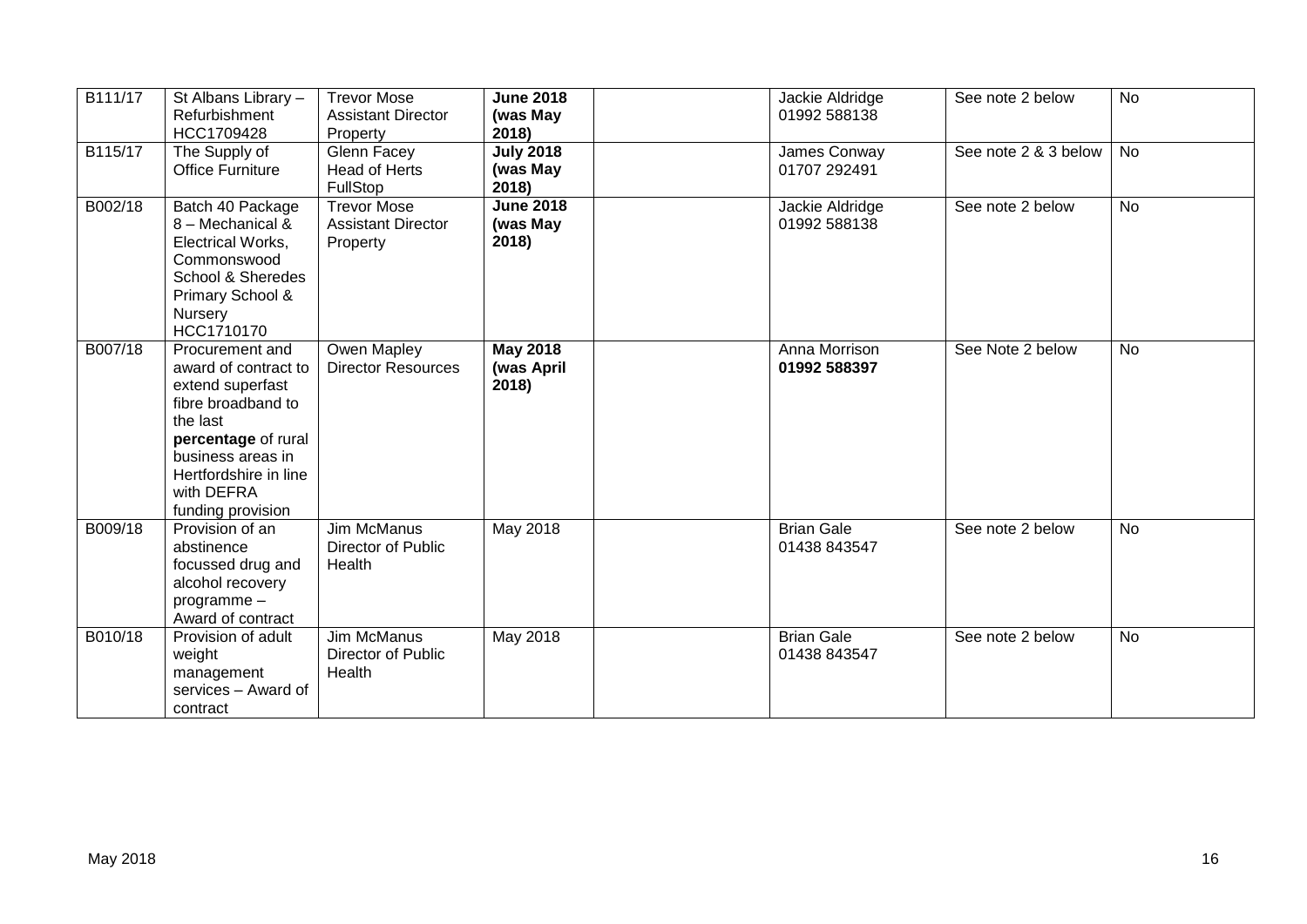| B111/17 | St Albans Library -<br>Refurbishment<br>HCC1709428                                                                                                                                                    | <b>Trevor Mose</b><br><b>Assistant Director</b><br>Property | <b>June 2018</b><br>(was May<br>2018)  | Jackie Aldridge<br>01992 588138   | See note 2 below     | <b>No</b> |
|---------|-------------------------------------------------------------------------------------------------------------------------------------------------------------------------------------------------------|-------------------------------------------------------------|----------------------------------------|-----------------------------------|----------------------|-----------|
| B115/17 | The Supply of<br><b>Office Furniture</b>                                                                                                                                                              | Glenn Facey<br><b>Head of Herts</b><br>FullStop             | <b>July 2018</b><br>(was May<br>2018)  | James Conway<br>01707 292491      | See note 2 & 3 below | No        |
| B002/18 | Batch 40 Package<br>8 - Mechanical &<br>Electrical Works,<br>Commonswood<br>School & Sheredes<br>Primary School &<br>Nursery<br>HCC1710170                                                            | <b>Trevor Mose</b><br><b>Assistant Director</b><br>Property | <b>June 2018</b><br>(was May<br>2018)  | Jackie Aldridge<br>01992 588138   | See note 2 below     | <b>No</b> |
| B007/18 | Procurement and<br>award of contract to<br>extend superfast<br>fibre broadband to<br>the last<br>percentage of rural<br>business areas in<br>Hertfordshire in line<br>with DEFRA<br>funding provision | Owen Mapley<br><b>Director Resources</b>                    | <b>May 2018</b><br>(was April<br>2018) | Anna Morrison<br>01992 588397     | See Note 2 below     | <b>No</b> |
| B009/18 | Provision of an<br>abstinence<br>focussed drug and<br>alcohol recovery<br>programme-<br>Award of contract                                                                                             | Jim McManus<br><b>Director of Public</b><br>Health          | May 2018                               | <b>Brian Gale</b><br>01438 843547 | See note 2 below     | <b>No</b> |
| B010/18 | Provision of adult<br>weight<br>management<br>services - Award of<br>contract                                                                                                                         | <b>Jim McManus</b><br>Director of Public<br>Health          | <b>May 2018</b>                        | <b>Brian Gale</b><br>01438 843547 | See note 2 below     | <b>No</b> |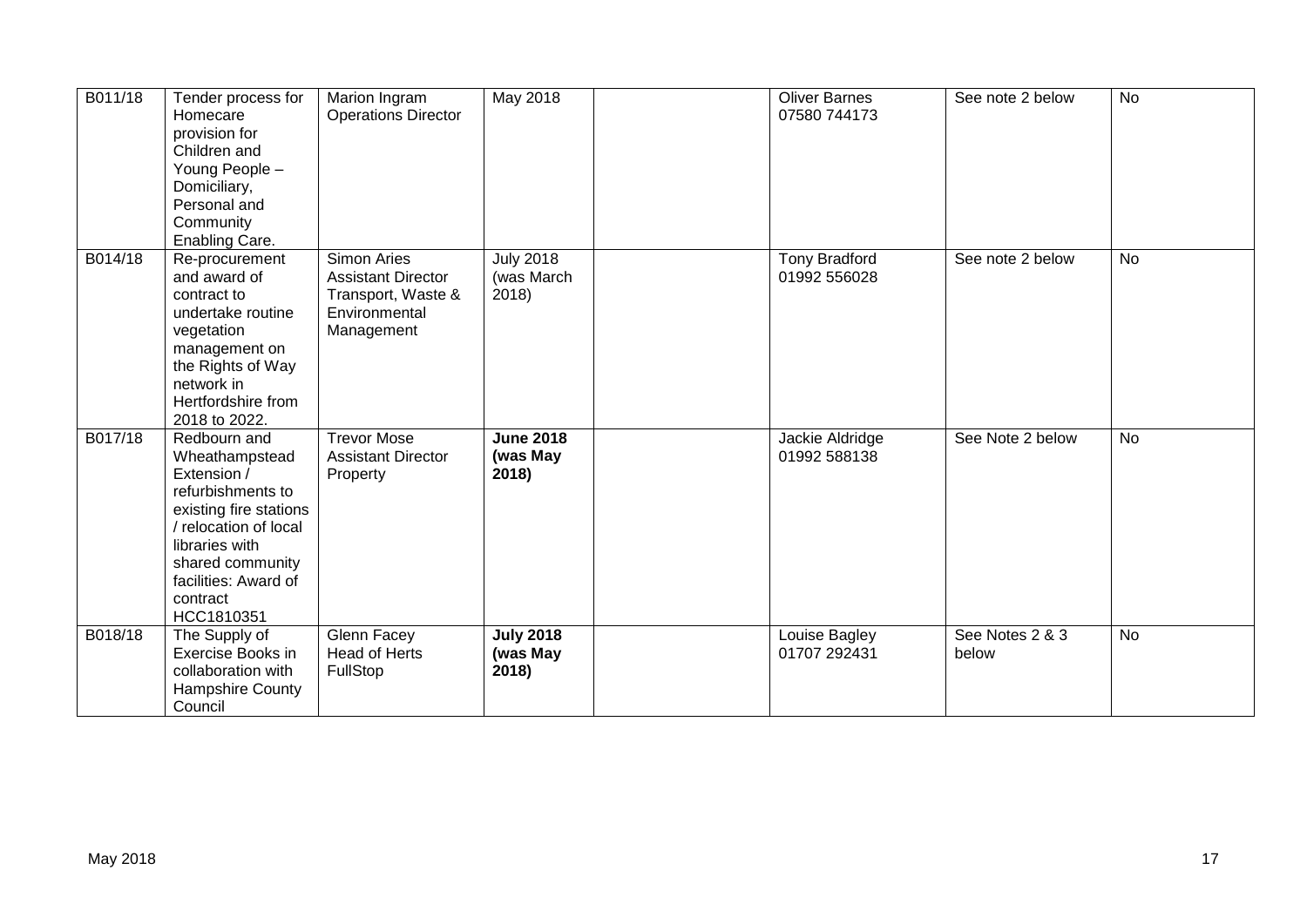| B011/18 | Tender process for<br>Homecare<br>provision for<br>Children and<br>Young People -<br>Domiciliary,<br>Personal and<br>Community<br>Enabling Care.                                                            | Marion Ingram<br><b>Operations Director</b>                                                   | <b>May 2018</b>                        | <b>Oliver Barnes</b><br>07580 744173 | See note 2 below         | $\overline{N}$ |
|---------|-------------------------------------------------------------------------------------------------------------------------------------------------------------------------------------------------------------|-----------------------------------------------------------------------------------------------|----------------------------------------|--------------------------------------|--------------------------|----------------|
| B014/18 | Re-procurement<br>and award of<br>contract to<br>undertake routine<br>vegetation<br>management on<br>the Rights of Way<br>network in<br>Hertfordshire from<br>2018 to 2022.                                 | Simon Aries<br><b>Assistant Director</b><br>Transport, Waste &<br>Environmental<br>Management | <b>July 2018</b><br>(was March<br>2018 | <b>Tony Bradford</b><br>01992 556028 | See note 2 below         | <b>No</b>      |
| B017/18 | Redbourn and<br>Wheathampstead<br>Extension /<br>refurbishments to<br>existing fire stations<br>relocation of local<br>libraries with<br>shared community<br>facilities: Award of<br>contract<br>HCC1810351 | <b>Trevor Mose</b><br><b>Assistant Director</b><br>Property                                   | <b>June 2018</b><br>(was May<br>2018)  | Jackie Aldridge<br>01992 588138      | See Note 2 below         | <b>No</b>      |
| B018/18 | The Supply of<br>Exercise Books in<br>collaboration with<br>Hampshire County<br>Council                                                                                                                     | Glenn Facey<br><b>Head of Herts</b><br>FullStop                                               | <b>July 2018</b><br>(was May<br>2018)  | Louise Bagley<br>01707 292431        | See Notes 2 & 3<br>below | <b>No</b>      |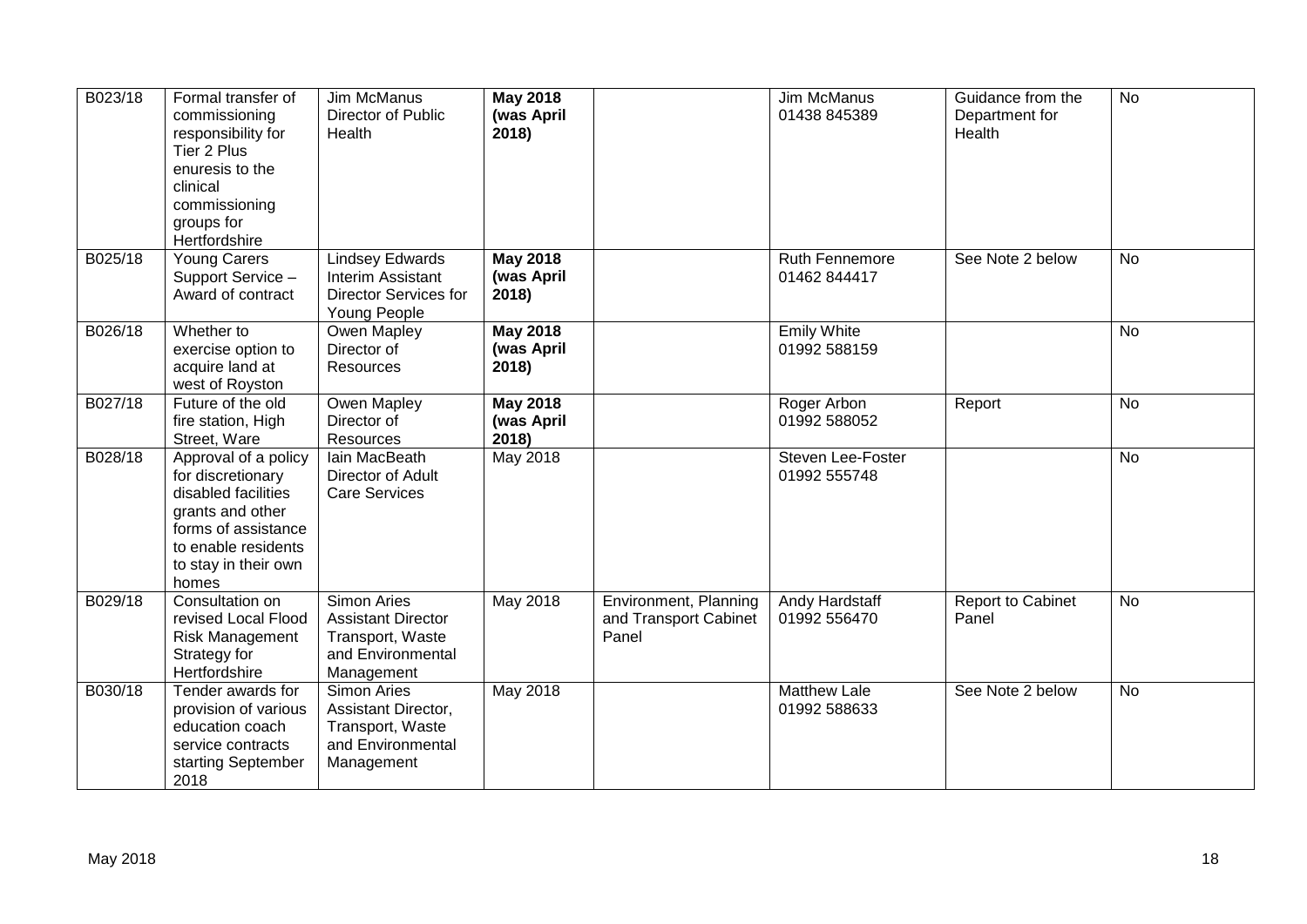| B023/18 | Formal transfer of<br>commissioning<br>responsibility for<br>Tier 2 Plus<br>enuresis to the<br>clinical<br>commissioning<br>groups for<br>Hertfordshire             | Jim McManus<br>Director of Public<br>Health                                                            | <b>May 2018</b><br>(was April<br>2018) |                                                         | <b>Jim McManus</b><br>01438 845389    | Guidance from the<br>Department for<br>Health | <b>No</b> |
|---------|---------------------------------------------------------------------------------------------------------------------------------------------------------------------|--------------------------------------------------------------------------------------------------------|----------------------------------------|---------------------------------------------------------|---------------------------------------|-----------------------------------------------|-----------|
| B025/18 | <b>Young Carers</b><br>Support Service -<br>Award of contract                                                                                                       | <b>Lindsey Edwards</b><br>Interim Assistant<br><b>Director Services for</b><br>Young People            | <b>May 2018</b><br>(was April<br>2018) |                                                         | <b>Ruth Fennemore</b><br>01462 844417 | See Note 2 below                              | <b>No</b> |
| B026/18 | Whether to<br>exercise option to<br>acquire land at<br>west of Royston                                                                                              | Owen Mapley<br>Director of<br>Resources                                                                | <b>May 2018</b><br>(was April<br>2018) |                                                         | <b>Emily White</b><br>01992 588159    |                                               | No        |
| B027/18 | Future of the old<br>fire station, High<br>Street, Ware                                                                                                             | Owen Mapley<br>Director of<br>Resources                                                                | <b>May 2018</b><br>(was April<br>2018) |                                                         | Roger Arbon<br>01992 588052           | Report                                        | <b>No</b> |
| B028/18 | Approval of a policy<br>for discretionary<br>disabled facilities<br>grants and other<br>forms of assistance<br>to enable residents<br>to stay in their own<br>homes | lain MacBeath<br>Director of Adult<br><b>Care Services</b>                                             | May 2018                               |                                                         | Steven Lee-Foster<br>01992 555748     |                                               | <b>No</b> |
| B029/18 | Consultation on<br>revised Local Flood<br>Risk Management<br>Strategy for<br>Hertfordshire                                                                          | <b>Simon Aries</b><br><b>Assistant Director</b><br>Transport, Waste<br>and Environmental<br>Management | May 2018                               | Environment, Planning<br>and Transport Cabinet<br>Panel | Andy Hardstaff<br>01992 556470        | Report to Cabinet<br>Panel                    | <b>No</b> |
| B030/18 | Tender awards for<br>provision of various<br>education coach<br>service contracts<br>starting September<br>2018                                                     | <b>Simon Aries</b><br>Assistant Director,<br>Transport, Waste<br>and Environmental<br>Management       | May 2018                               |                                                         | <b>Matthew Lale</b><br>01992 588633   | See Note 2 below                              | <b>No</b> |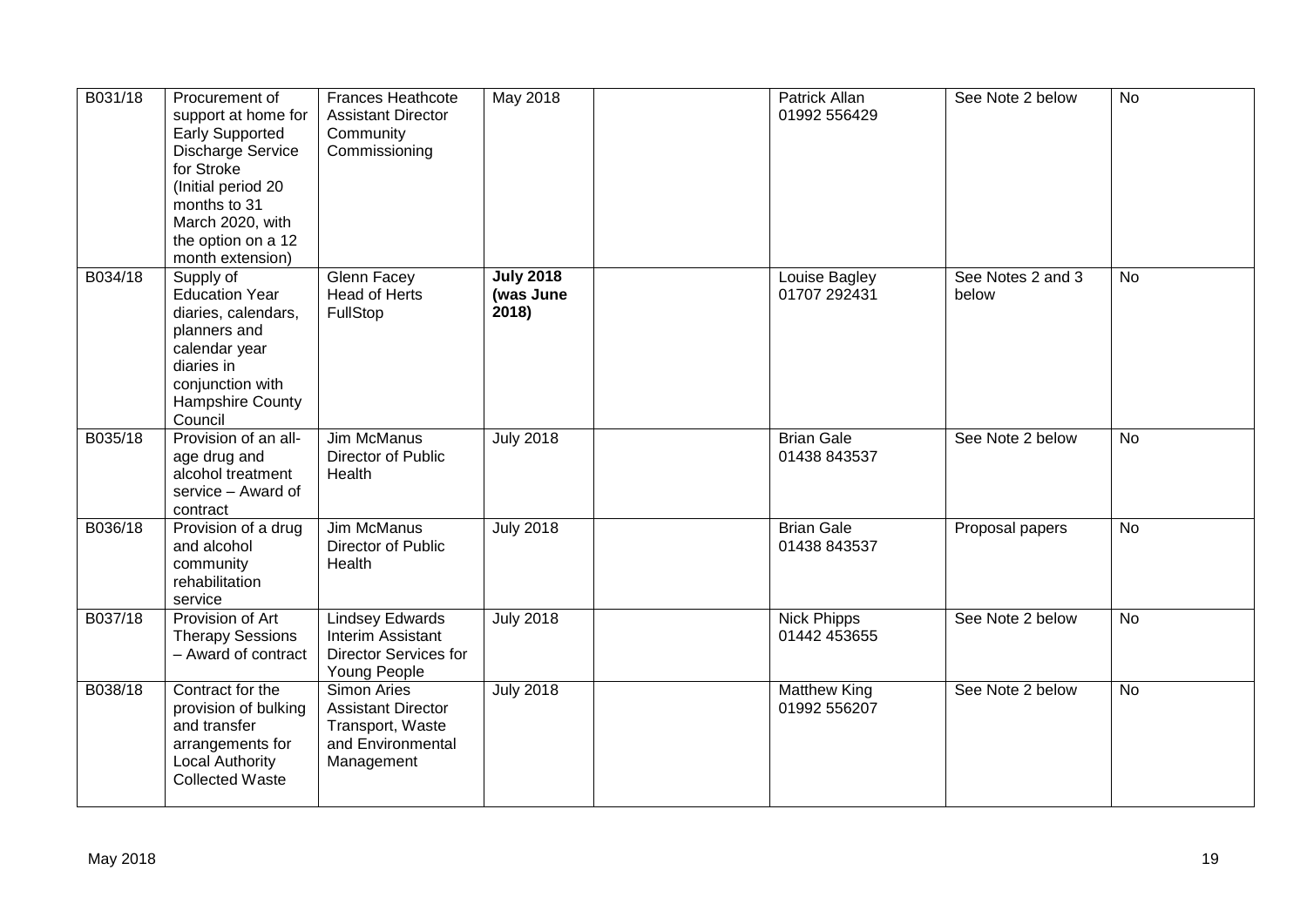| B031/18 | Procurement of<br>support at home for<br><b>Early Supported</b><br>Discharge Service<br>for Stroke<br>(Initial period 20<br>months to 31<br>March 2020, with<br>the option on a 12<br>month extension) | <b>Frances Heathcote</b><br><b>Assistant Director</b><br>Community<br>Commissioning                    | May 2018                              | Patrick Allan<br>01992 556429        | See Note 2 below           | <b>No</b>      |
|---------|--------------------------------------------------------------------------------------------------------------------------------------------------------------------------------------------------------|--------------------------------------------------------------------------------------------------------|---------------------------------------|--------------------------------------|----------------------------|----------------|
| B034/18 | Supply of<br><b>Education Year</b><br>diaries, calendars,<br>planners and<br>calendar year<br>diaries in<br>conjunction with<br>Hampshire County<br>Council                                            | <b>Glenn Facey</b><br><b>Head of Herts</b><br>FullStop                                                 | <b>July 2018</b><br>(was June<br>2018 | <b>Louise Bagley</b><br>01707 292431 | See Notes 2 and 3<br>below | $\overline{N}$ |
| B035/18 | Provision of an all-<br>age drug and<br>alcohol treatment<br>service - Award of<br>contract                                                                                                            | <b>Jim McManus</b><br>Director of Public<br>Health                                                     | <b>July 2018</b>                      | <b>Brian Gale</b><br>01438 843537    | See Note 2 below           | <b>No</b>      |
| B036/18 | Provision of a drug<br>and alcohol<br>community<br>rehabilitation<br>service                                                                                                                           | Jim McManus<br>Director of Public<br>Health                                                            | <b>July 2018</b>                      | <b>Brian Gale</b><br>01438 843537    | Proposal papers            | <b>No</b>      |
| B037/18 | Provision of Art<br><b>Therapy Sessions</b><br>- Award of contract                                                                                                                                     | <b>Lindsey Edwards</b><br>Interim Assistant<br><b>Director Services for</b><br>Young People            | <b>July 2018</b>                      | <b>Nick Phipps</b><br>01442 453655   | See Note 2 below           | <b>No</b>      |
| B038/18 | Contract for the<br>provision of bulking<br>and transfer<br>arrangements for<br><b>Local Authority</b><br><b>Collected Waste</b>                                                                       | <b>Simon Aries</b><br><b>Assistant Director</b><br>Transport, Waste<br>and Environmental<br>Management | <b>July 2018</b>                      | <b>Matthew King</b><br>01992 556207  | See Note 2 below           | $\overline{N}$ |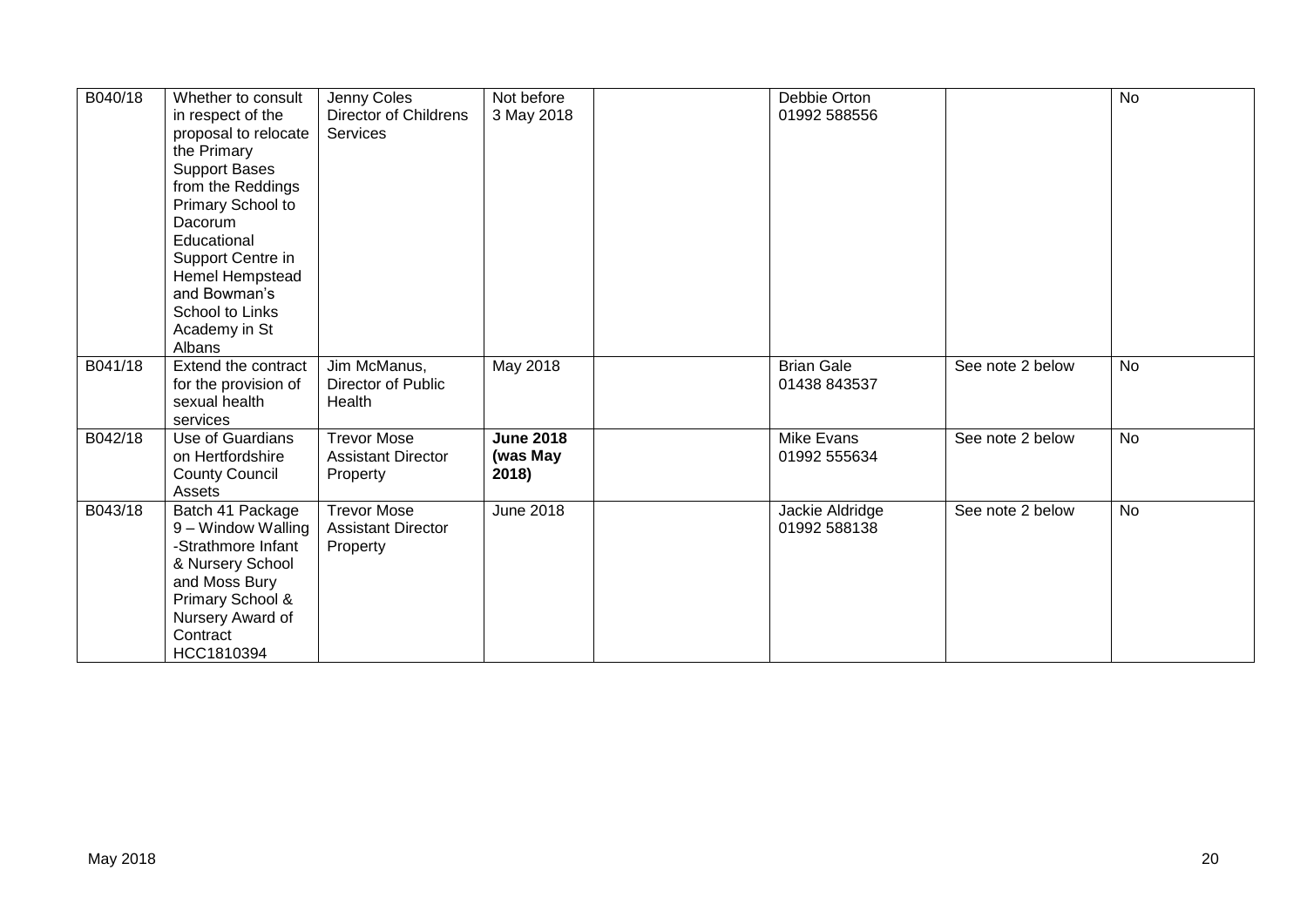| B040/18 | Whether to consult<br>in respect of the<br>proposal to relocate<br>the Primary<br><b>Support Bases</b><br>from the Reddings<br>Primary School to<br>Dacorum<br>Educational<br>Support Centre in<br>Hemel Hempstead<br>and Bowman's<br>School to Links<br>Academy in St<br>Albans | Jenny Coles<br>Director of Childrens<br><b>Services</b>     | Not before<br>3 May 2018              | Debbie Orton<br>01992 588556      |                  | $\overline{N}$ |
|---------|----------------------------------------------------------------------------------------------------------------------------------------------------------------------------------------------------------------------------------------------------------------------------------|-------------------------------------------------------------|---------------------------------------|-----------------------------------|------------------|----------------|
| B041/18 | Extend the contract<br>for the provision of<br>sexual health<br>services                                                                                                                                                                                                         | Jim McManus,<br>Director of Public<br>Health                | May 2018                              | <b>Brian Gale</b><br>01438 843537 | See note 2 below | <b>No</b>      |
| B042/18 | <b>Use of Guardians</b><br>on Hertfordshire<br><b>County Council</b><br>Assets                                                                                                                                                                                                   | <b>Trevor Mose</b><br><b>Assistant Director</b><br>Property | <b>June 2018</b><br>(was May<br>2018) | Mike Evans<br>01992 555634        | See note 2 below | <b>No</b>      |
| B043/18 | Batch 41 Package<br>9 – Window Walling<br>-Strathmore Infant<br>& Nursery School<br>and Moss Bury<br>Primary School &<br>Nursery Award of<br>Contract<br>HCC1810394                                                                                                              | <b>Trevor Mose</b><br><b>Assistant Director</b><br>Property | <b>June 2018</b>                      | Jackie Aldridge<br>01992 588138   | See note 2 below | <b>No</b>      |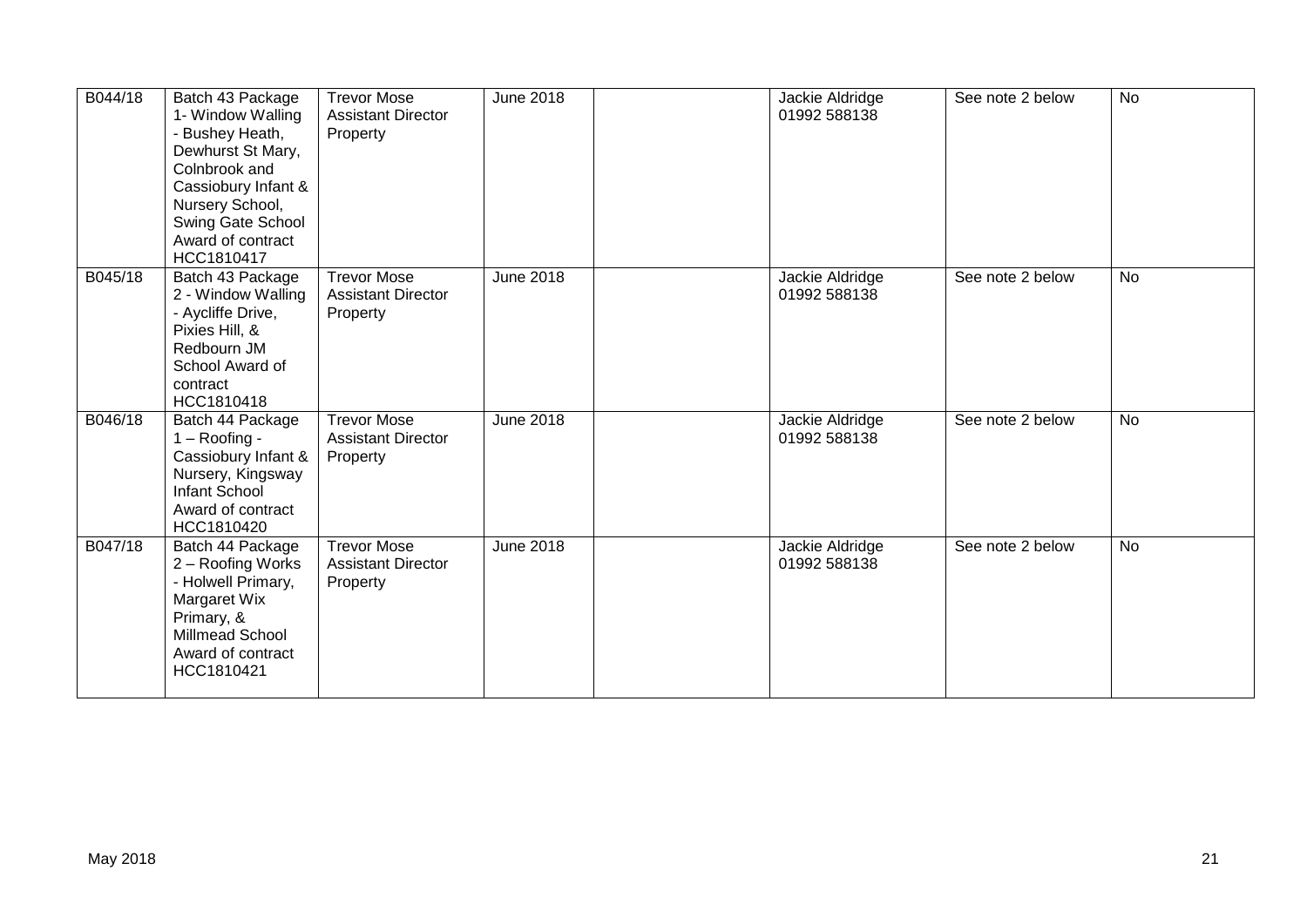| B044/18 | Batch 43 Package<br>1- Window Walling<br>- Bushey Heath,<br>Dewhurst St Mary,<br>Colnbrook and<br>Cassiobury Infant &<br>Nursery School,<br>Swing Gate School<br>Award of contract<br>HCC1810417 | <b>Trevor Mose</b><br><b>Assistant Director</b><br>Property | <b>June 2018</b> | Jackie Aldridge<br>01992 588138 | See note 2 below | <b>No</b> |
|---------|--------------------------------------------------------------------------------------------------------------------------------------------------------------------------------------------------|-------------------------------------------------------------|------------------|---------------------------------|------------------|-----------|
| B045/18 | Batch 43 Package<br>2 - Window Walling<br>- Aycliffe Drive,<br>Pixies Hill, &<br>Redbourn JM<br>School Award of<br>contract<br>HCC1810418                                                        | <b>Trevor Mose</b><br><b>Assistant Director</b><br>Property | <b>June 2018</b> | Jackie Aldridge<br>01992 588138 | See note 2 below | <b>No</b> |
| B046/18 | Batch 44 Package<br>$1 -$ Roofing -<br>Cassiobury Infant &<br>Nursery, Kingsway<br>Infant School<br>Award of contract<br>HCC1810420                                                              | <b>Trevor Mose</b><br><b>Assistant Director</b><br>Property | <b>June 2018</b> | Jackie Aldridge<br>01992 588138 | See note 2 below | <b>No</b> |
| B047/18 | Batch 44 Package<br>2 - Roofing Works<br>- Holwell Primary,<br>Margaret Wix<br>Primary, &<br>Millmead School<br>Award of contract<br>HCC1810421                                                  | <b>Trevor Mose</b><br><b>Assistant Director</b><br>Property | June 2018        | Jackie Aldridge<br>01992 588138 | See note 2 below | <b>No</b> |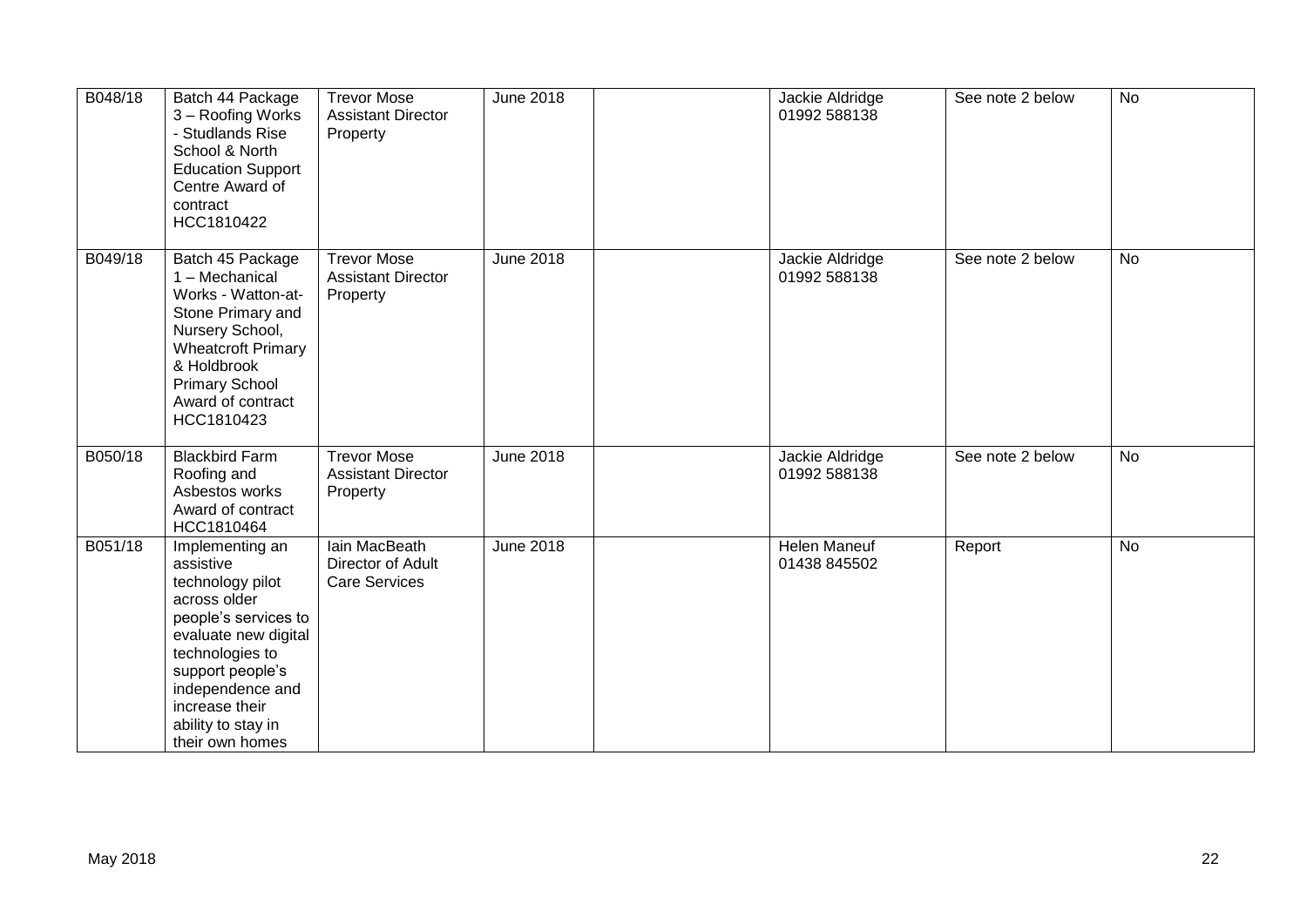| B048/18 | Batch 44 Package<br>3 - Roofing Works<br>- Studlands Rise<br>School & North<br><b>Education Support</b><br>Centre Award of<br>contract<br>HCC1810422                                                                                   | <b>Trevor Mose</b><br><b>Assistant Director</b><br>Property | <b>June 2018</b> | Jackie Aldridge<br>01992 588138     | See note 2 below | <b>No</b>      |
|---------|----------------------------------------------------------------------------------------------------------------------------------------------------------------------------------------------------------------------------------------|-------------------------------------------------------------|------------------|-------------------------------------|------------------|----------------|
| B049/18 | Batch 45 Package<br>1 - Mechanical<br>Works - Watton-at-<br>Stone Primary and<br>Nursery School,<br><b>Wheatcroft Primary</b><br>& Holdbrook<br><b>Primary School</b><br>Award of contract<br>HCC1810423                               | <b>Trevor Mose</b><br><b>Assistant Director</b><br>Property | <b>June 2018</b> | Jackie Aldridge<br>01992 588138     | See note 2 below | <b>No</b>      |
| B050/18 | <b>Blackbird Farm</b><br>Roofing and<br>Asbestos works<br>Award of contract<br>HCC1810464                                                                                                                                              | <b>Trevor Mose</b><br><b>Assistant Director</b><br>Property | <b>June 2018</b> | Jackie Aldridge<br>01992 588138     | See note 2 below | <b>No</b>      |
| B051/18 | Implementing an<br>assistive<br>technology pilot<br>across older<br>people's services to<br>evaluate new digital<br>technologies to<br>support people's<br>independence and<br>increase their<br>ability to stay in<br>their own homes | lain MacBeath<br>Director of Adult<br><b>Care Services</b>  | <b>June 2018</b> | <b>Helen Maneuf</b><br>01438 845502 | Report           | $\overline{N}$ |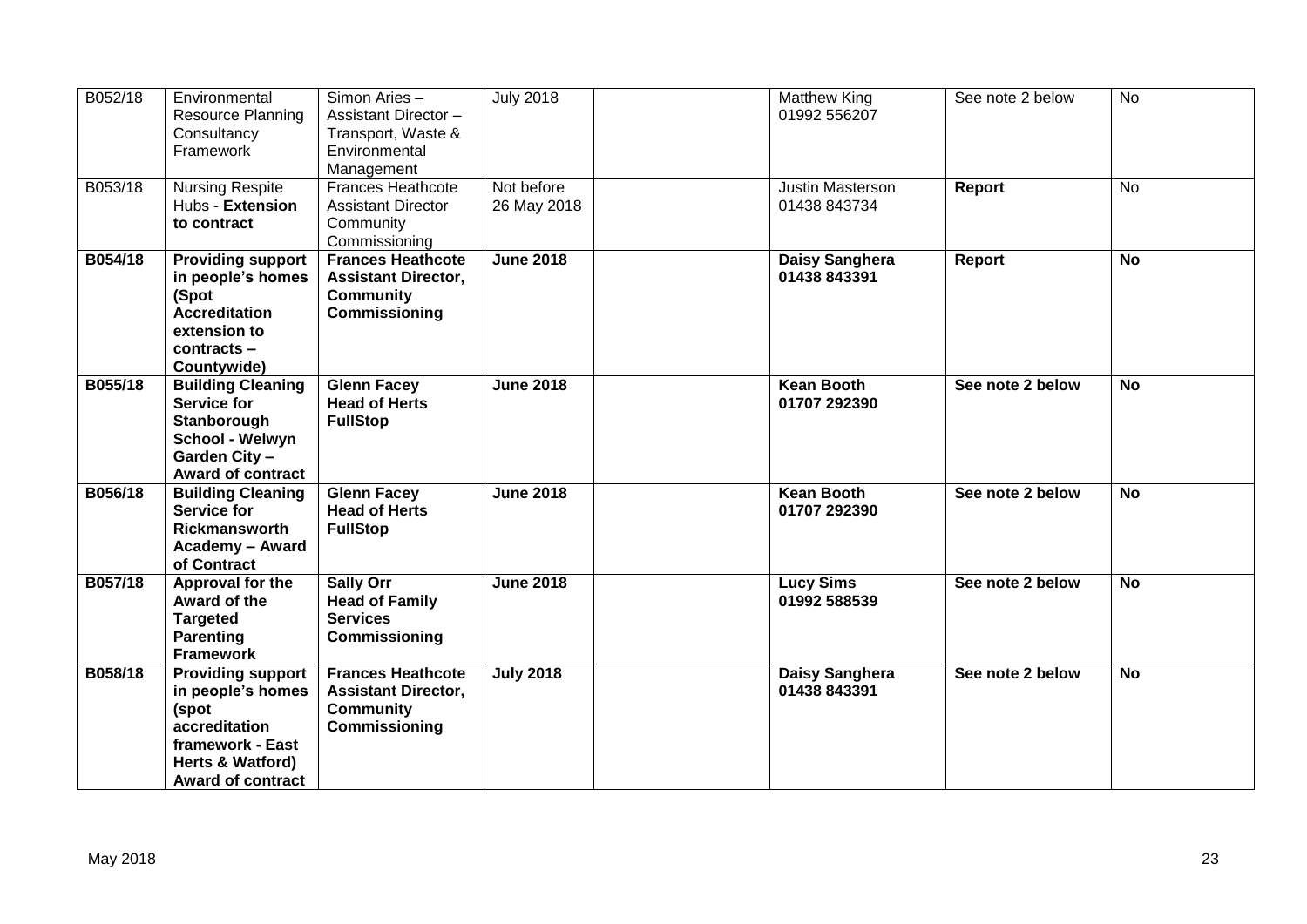| B052/18 | Environmental<br><b>Resource Planning</b><br>Consultancy<br>Framework                                                                       | Simon Aries-<br>Assistant Director -<br>Transport, Waste &<br>Environmental<br>Management   | <b>July 2018</b>          | Matthew King<br>01992 556207      | See note 2 below | No        |
|---------|---------------------------------------------------------------------------------------------------------------------------------------------|---------------------------------------------------------------------------------------------|---------------------------|-----------------------------------|------------------|-----------|
| B053/18 | <b>Nursing Respite</b><br>Hubs - Extension<br>to contract                                                                                   | <b>Frances Heathcote</b><br><b>Assistant Director</b><br>Community<br>Commissioning         | Not before<br>26 May 2018 | Justin Masterson<br>01438 843734  | <b>Report</b>    | <b>No</b> |
| B054/18 | <b>Providing support</b><br>in people's homes<br>(Spot<br><b>Accreditation</b><br>extension to<br>contracts -<br>Countywide)                | <b>Frances Heathcote</b><br><b>Assistant Director,</b><br><b>Community</b><br>Commissioning | <b>June 2018</b>          | Daisy Sanghera<br>01438 843391    | Report           | <b>No</b> |
| B055/18 | <b>Building Cleaning</b><br>Service for<br>Stanborough<br>School - Welwyn<br>Garden City -<br><b>Award of contract</b>                      | <b>Glenn Facey</b><br><b>Head of Herts</b><br><b>FullStop</b>                               | <b>June 2018</b>          | <b>Kean Booth</b><br>01707 292390 | See note 2 below | <b>No</b> |
| B056/18 | <b>Building Cleaning</b><br><b>Service for</b><br><b>Rickmansworth</b><br><b>Academy - Award</b><br>of Contract                             | <b>Glenn Facey</b><br><b>Head of Herts</b><br><b>FullStop</b>                               | <b>June 2018</b>          | <b>Kean Booth</b><br>01707 292390 | See note 2 below | <b>No</b> |
| B057/18 | Approval for the<br>Award of the<br><b>Targeted</b><br><b>Parenting</b><br><b>Framework</b>                                                 | <b>Sally Orr</b><br><b>Head of Family</b><br><b>Services</b><br>Commissioning               | <b>June 2018</b>          | <b>Lucy Sims</b><br>01992 588539  | See note 2 below | <b>No</b> |
| B058/18 | <b>Providing support</b><br>in people's homes<br>(spot<br>accreditation<br>framework - East<br>Herts & Watford)<br><b>Award of contract</b> | <b>Frances Heathcote</b><br><b>Assistant Director,</b><br><b>Community</b><br>Commissioning | <b>July 2018</b>          | Daisy Sanghera<br>01438 843391    | See note 2 below | <b>No</b> |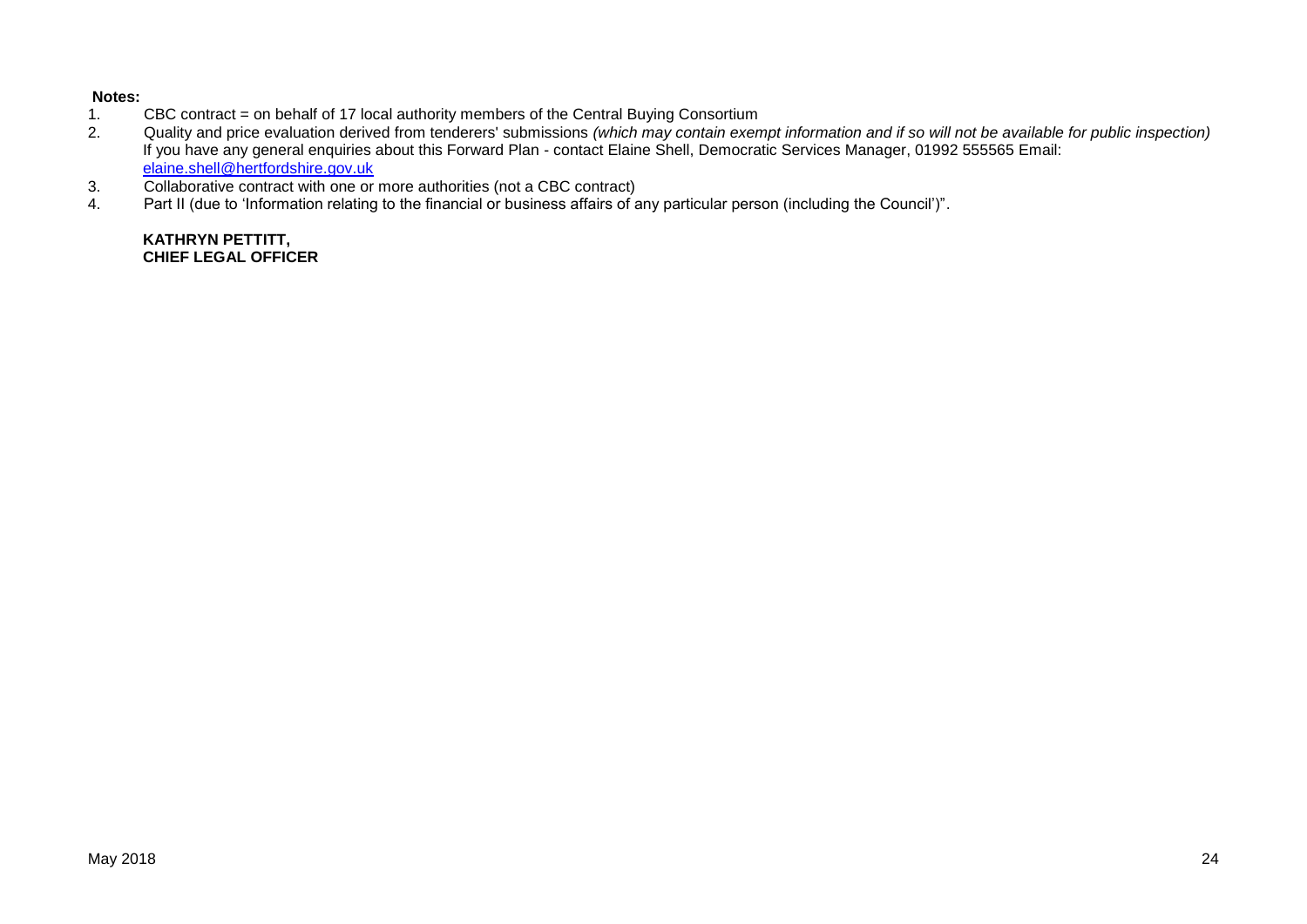# **Notes:**

- 1. CBC contract = on behalf of 17 local authority members of the Central Buying Consortium<br>2. Quality and price evaluation derived from tenderers' submissions (which may contain exen
- 2. Quality and price evaluation derived from tenderers' submissions *(which may contain exempt information and if so will not be available for public inspection)* If you have any general enquiries about this Forward Plan - contact Elaine Shell, Democratic Services Manager, 01992 555565 Email: [elaine.shell@hertfordshire.gov.uk](mailto:elaine.shell@hertfordshire.gov.uk)
- 3. Collaborative contract with one or more authorities (not a CBC contract)
- 4. Part II (due to 'Information relating to the financial or business affairs of any particular person (including the Council')".

**KATHRYN PETTITT, CHIEF LEGAL OFFICER**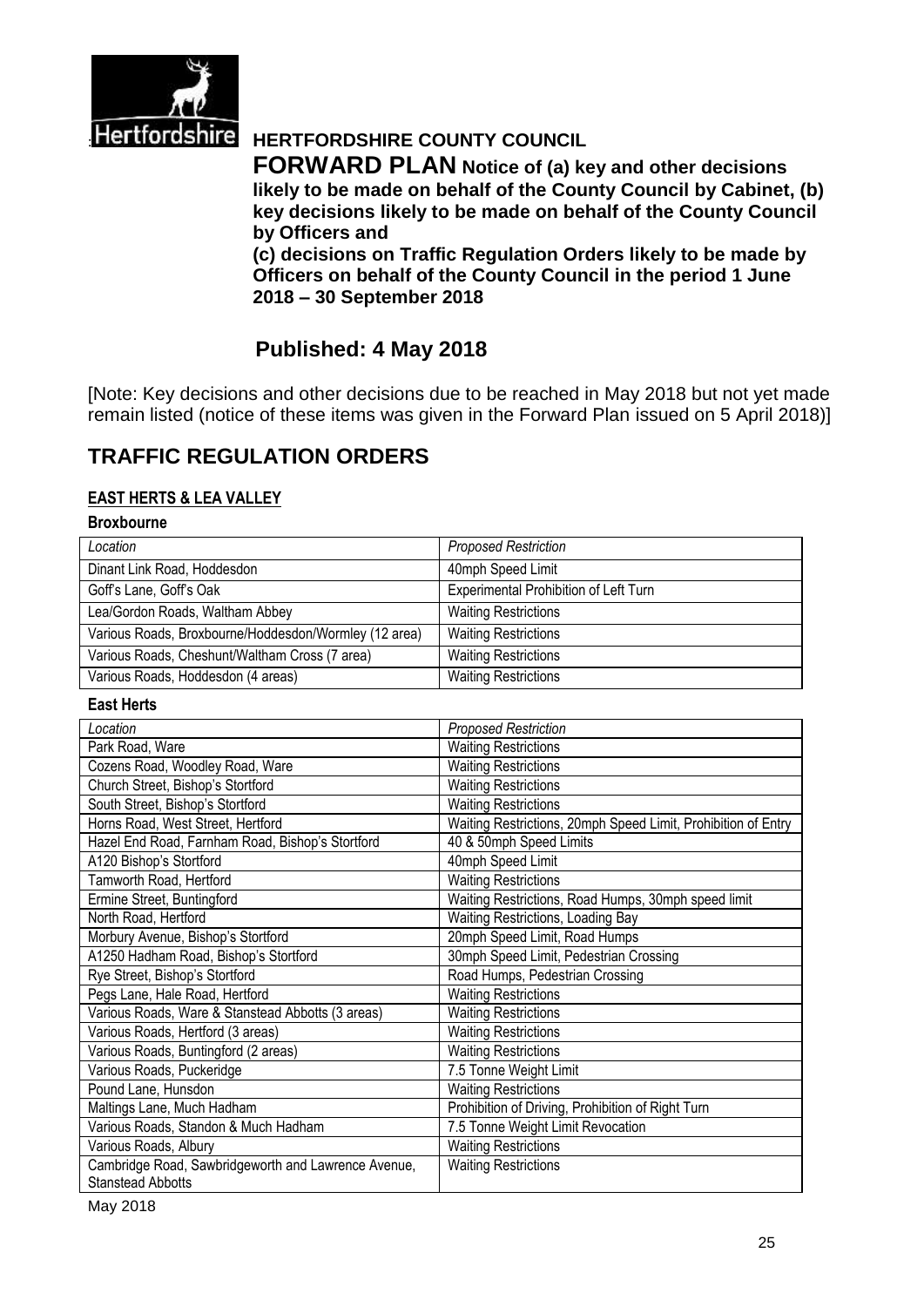

# **Hertfordshire HERTFORDSHIRE COUNTY COUNCIL**

**FORWARD PLAN Notice of (a) key and other decisions likely to be made on behalf of the County Council by Cabinet, (b) key decisions likely to be made on behalf of the County Council by Officers and** 

**(c) decisions on Traffic Regulation Orders likely to be made by Officers on behalf of the County Council in the period 1 June 2018 – 30 September 2018**

# **Published: 4 May 2018**

[Note: Key decisions and other decisions due to be reached in May 2018 but not yet made remain listed (notice of these items was given in the Forward Plan issued on 5 April 2018)]

# **TRAFFIC REGULATION ORDERS**

#### **EAST HERTS & LEA VALLEY**

#### **Broxbourne**

| Location                                              | <b>Proposed Restriction</b>           |
|-------------------------------------------------------|---------------------------------------|
| Dinant Link Road, Hoddesdon                           | 40mph Speed Limit                     |
| Goff's Lane, Goff's Oak                               | Experimental Prohibition of Left Turn |
| Lea/Gordon Roads, Waltham Abbey                       | <b>Waiting Restrictions</b>           |
| Various Roads, Broxbourne/Hoddesdon/Wormley (12 area) | <b>Waiting Restrictions</b>           |
| Various Roads, Cheshunt/Waltham Cross (7 area)        | <b>Waiting Restrictions</b>           |
| Various Roads, Hoddesdon (4 areas)                    | <b>Waiting Restrictions</b>           |

#### **East Herts**

| Location                                            | <b>Proposed Restriction</b>                                   |
|-----------------------------------------------------|---------------------------------------------------------------|
| Park Road, Ware                                     | <b>Waiting Restrictions</b>                                   |
| Cozens Road, Woodley Road, Ware                     | <b>Waiting Restrictions</b>                                   |
| Church Street, Bishop's Stortford                   | <b>Waiting Restrictions</b>                                   |
| South Street, Bishop's Stortford                    | <b>Waiting Restrictions</b>                                   |
| Horns Road, West Street, Hertford                   | Waiting Restrictions, 20mph Speed Limit, Prohibition of Entry |
| Hazel End Road, Farnham Road, Bishop's Stortford    | 40 & 50mph Speed Limits                                       |
| A120 Bishop's Stortford                             | 40mph Speed Limit                                             |
| Tamworth Road, Hertford                             | <b>Waiting Restrictions</b>                                   |
| Ermine Street, Buntingford                          | Waiting Restrictions, Road Humps, 30mph speed limit           |
| North Road, Hertford                                | Waiting Restrictions, Loading Bay                             |
| Morbury Avenue, Bishop's Stortford                  | 20mph Speed Limit, Road Humps                                 |
| A1250 Hadham Road, Bishop's Stortford               | 30mph Speed Limit, Pedestrian Crossing                        |
| Rye Street, Bishop's Stortford                      | Road Humps, Pedestrian Crossing                               |
| Pegs Lane, Hale Road, Hertford                      | <b>Waiting Restrictions</b>                                   |
| Various Roads, Ware & Stanstead Abbotts (3 areas)   | <b>Waiting Restrictions</b>                                   |
| Various Roads, Hertford (3 areas)                   | <b>Waiting Restrictions</b>                                   |
| Various Roads, Buntingford (2 areas)                | <b>Waiting Restrictions</b>                                   |
| Various Roads, Puckeridge                           | 7.5 Tonne Weight Limit                                        |
| Pound Lane, Hunsdon                                 | <b>Waiting Restrictions</b>                                   |
| Maltings Lane, Much Hadham                          | Prohibition of Driving, Prohibition of Right Turn             |
| Various Roads, Standon & Much Hadham                | 7.5 Tonne Weight Limit Revocation                             |
| Various Roads, Albury                               | <b>Waiting Restrictions</b>                                   |
| Cambridge Road, Sawbridgeworth and Lawrence Avenue, | <b>Waiting Restrictions</b>                                   |
| <b>Stanstead Abbotts</b>                            |                                                               |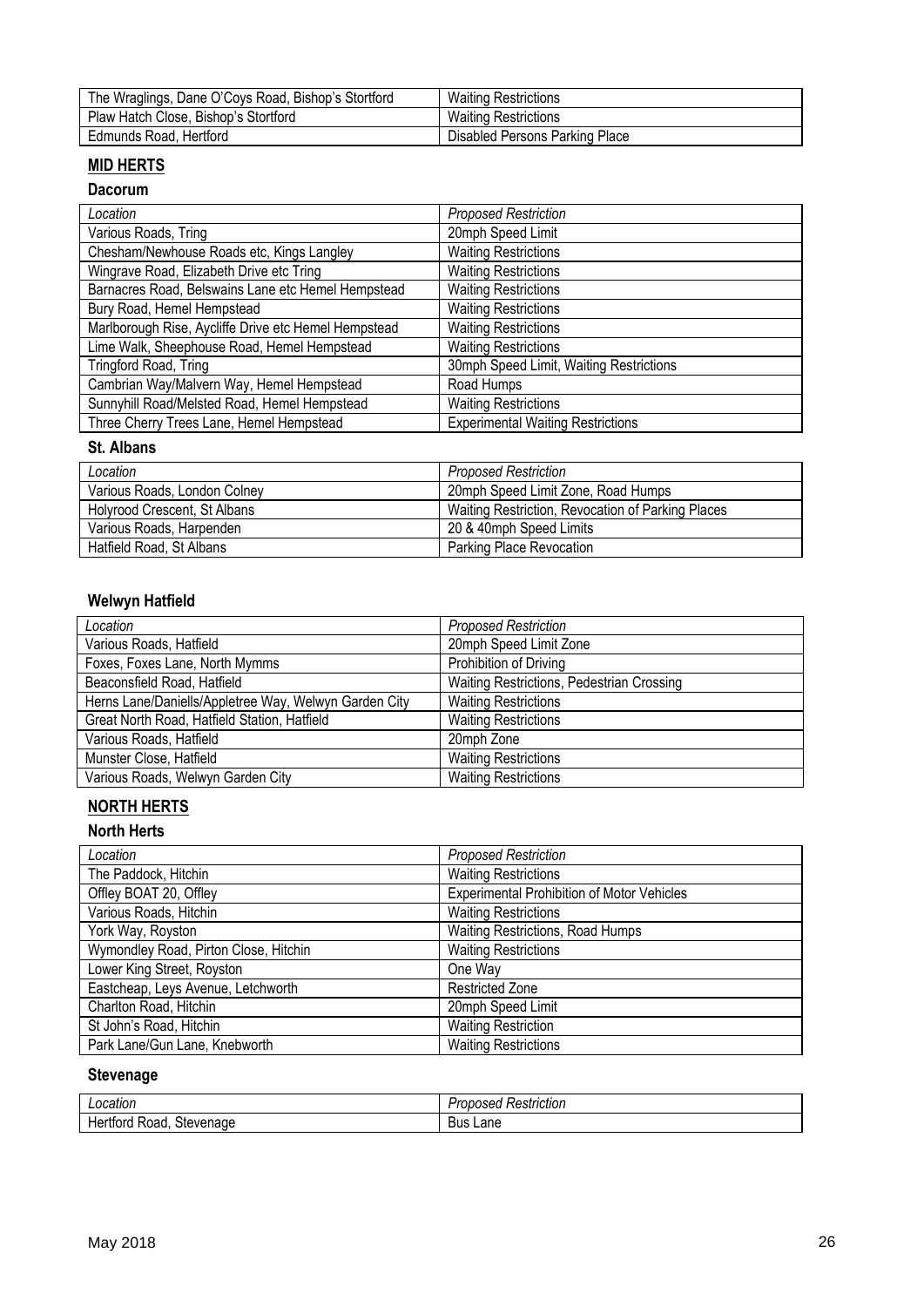| The Wraglings, Dane O'Coys Road, Bishop's Stortford | <b>Waiting Restrictions</b>    |
|-----------------------------------------------------|--------------------------------|
| Plaw Hatch Close, Bishop's Stortford                | <b>Waiting Restrictions</b>    |
| Edmunds Road, Hertford                              | Disabled Persons Parking Place |

# **MID HERTS**

#### **Dacorum**

| Location                                             | <b>Proposed Restriction</b>              |
|------------------------------------------------------|------------------------------------------|
| Various Roads, Tring                                 | 20mph Speed Limit                        |
| Chesham/Newhouse Roads etc, Kings Langley            | <b>Waiting Restrictions</b>              |
| Wingrave Road, Elizabeth Drive etc Tring             | <b>Waiting Restrictions</b>              |
| Barnacres Road, Belswains Lane etc Hemel Hempstead   | <b>Waiting Restrictions</b>              |
| Bury Road, Hemel Hempstead                           | <b>Waiting Restrictions</b>              |
| Marlborough Rise, Aycliffe Drive etc Hemel Hempstead | <b>Waiting Restrictions</b>              |
| Lime Walk, Sheephouse Road, Hemel Hempstead          | <b>Waiting Restrictions</b>              |
| Tringford Road, Tring                                | 30mph Speed Limit, Waiting Restrictions  |
| Cambrian Way/Malvern Way, Hemel Hempstead            | Road Humps                               |
| Sunnyhill Road/Melsted Road, Hemel Hempstead         | <b>Waiting Restrictions</b>              |
| Three Cherry Trees Lane, Hemel Hempstead             | <b>Experimental Waiting Restrictions</b> |

#### **St. Albans**

| Location                     | <b>Proposed Restriction</b>                       |
|------------------------------|---------------------------------------------------|
| Various Roads, London Colney | 20mph Speed Limit Zone, Road Humps                |
| Holyrood Crescent, St Albans | Waiting Restriction, Revocation of Parking Places |
| Various Roads, Harpenden     | 20 & 40mph Speed Limits                           |
| Hatfield Road, St Albans     | <b>Parking Place Revocation</b>                   |

### **Welwyn Hatfield**

| Location                                              | <b>Proposed Restriction</b>               |
|-------------------------------------------------------|-------------------------------------------|
| Various Roads, Hatfield                               | 20mph Speed Limit Zone                    |
| Foxes, Foxes Lane, North Mymms                        | Prohibition of Driving                    |
| Beaconsfield Road, Hatfield                           | Waiting Restrictions, Pedestrian Crossing |
| Herns Lane/Daniells/Appletree Way, Welwyn Garden City | <b>Waiting Restrictions</b>               |
| Great North Road, Hatfield Station, Hatfield          | <b>Waiting Restrictions</b>               |
| Various Roads, Hatfield                               | 20mph Zone                                |
| Munster Close, Hatfield                               | <b>Waiting Restrictions</b>               |
| Various Roads, Welwyn Garden City                     | <b>Waiting Restrictions</b>               |

### **NORTH HERTS**

#### **North Herts**

| Location                              | <b>Proposed Restriction</b>                |
|---------------------------------------|--------------------------------------------|
| The Paddock, Hitchin                  | <b>Waiting Restrictions</b>                |
| Offley BOAT 20, Offley                | Experimental Prohibition of Motor Vehicles |
| Various Roads, Hitchin                | <b>Waiting Restrictions</b>                |
| York Way, Royston                     | Waiting Restrictions, Road Humps           |
| Wymondley Road, Pirton Close, Hitchin | <b>Waiting Restrictions</b>                |
| Lower King Street, Royston            | One Way                                    |
| Eastcheap, Leys Avenue, Letchworth    | <b>Restricted Zone</b>                     |
| Charlton Road, Hitchin                | 20mph Speed Limit                          |
| St John's Road, Hitchin               | <b>Waiting Restriction</b>                 |
| Park Lane/Gun Lane, Knebworth         | <b>Waiting Restrictions</b>                |

### **Stevenage**

| ncation<br>cauor.              | . .<br>Restriction<br>roposed |
|--------------------------------|-------------------------------|
| Stevenage<br>ord<br>Road<br>пе | Lane<br>DUS                   |